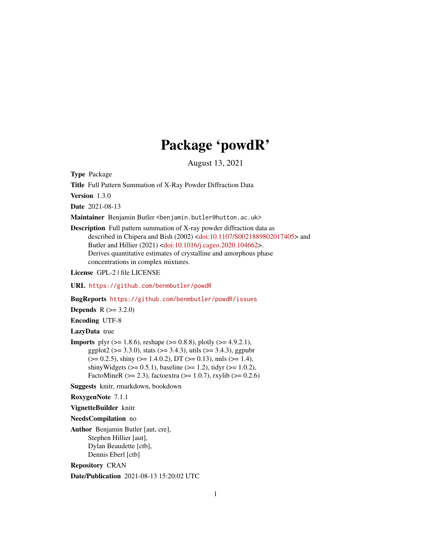# Package 'powdR'

August 13, 2021

Type Package

Title Full Pattern Summation of X-Ray Powder Diffraction Data

Version 1.3.0

Date 2021-08-13

Maintainer Benjamin Butler <benjamin.butler@hutton.ac.uk>

Description Full pattern summation of X-ray powder diffraction data as described in Chipera and Bish (2002) [<doi:10.1107/S0021889802017405>](https://doi.org/10.1107/S0021889802017405) and Butler and Hillier (2021) [<doi:10.1016/j.cageo.2020.104662>](https://doi.org/10.1016/j.cageo.2020.104662). Derives quantitative estimates of crystalline and amorphous phase concentrations in complex mixtures.

License GPL-2 | file LICENSE

URL <https://github.com/benmbutler/powdR>

BugReports <https://github.com/benmbutler/powdR/issues>

**Depends** R  $(>= 3.2.0)$ 

Encoding UTF-8

LazyData true

**Imports** plyr ( $> = 1.8.6$ ), reshape ( $> = 0.8.8$ ), plotly ( $> = 4.9.2.1$ ), ggplot2 ( $> = 3.3.0$ ), stats ( $> = 3.4.3$ ), utils ( $> = 3.4.3$ ), ggpubr  $(>= 0.2.5)$ , shiny  $(>= 1.4.0.2)$ , DT  $(>= 0.13)$ , nnls  $(>= 1.4)$ , shinyWidgets ( $> = 0.5.1$ ), baseline ( $> = 1.2$ ), tidyr ( $> = 1.0.2$ ), FactoMineR ( $>= 2.3$ ), factoextra ( $>= 1.0.7$ ), rxylib ( $>= 0.2.6$ )

Suggests knitr, rmarkdown, bookdown

RoxygenNote 7.1.1

VignetteBuilder knitr

NeedsCompilation no

Author Benjamin Butler [aut, cre], Stephen Hillier [aut], Dylan Beaudette [ctb], Dennis Eberl [ctb]

Repository CRAN

Date/Publication 2021-08-13 15:20:02 UTC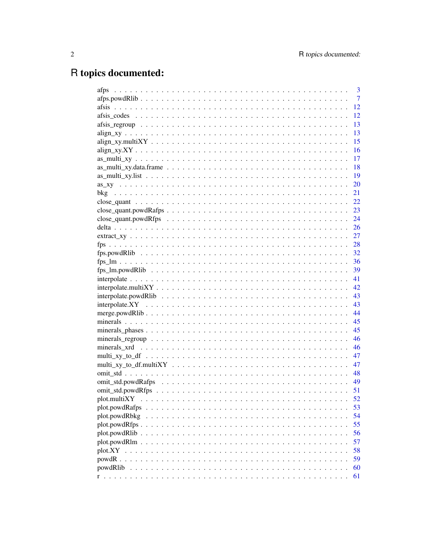# R topics documented:

|                | 3              |
|----------------|----------------|
|                | $\overline{7}$ |
|                | 12             |
|                | 12             |
|                | 13             |
|                | 13             |
|                | 15             |
|                | 16             |
|                | 17             |
|                | 18             |
|                | 19             |
|                | 20             |
|                | 21             |
|                | 22             |
|                | 23             |
|                | 24             |
|                |                |
|                |                |
|                |                |
|                |                |
|                |                |
|                |                |
|                | 41             |
|                | 42             |
|                | 43             |
|                | 43             |
|                | 44             |
|                | 45             |
|                | 45             |
|                | 46             |
|                | 46             |
|                | 47             |
|                | 47             |
|                | 48             |
|                | 49             |
|                | 51             |
|                | 52             |
| plot.powdRafps | 53             |
| plot.powdRbkg  | 54             |
|                | 55             |
| plot.powdRlib  | 56             |
| plot.powdRlm   | 57             |
|                | 58             |
| powdR          | 59             |
| powdRlib       | 60             |
|                | 61             |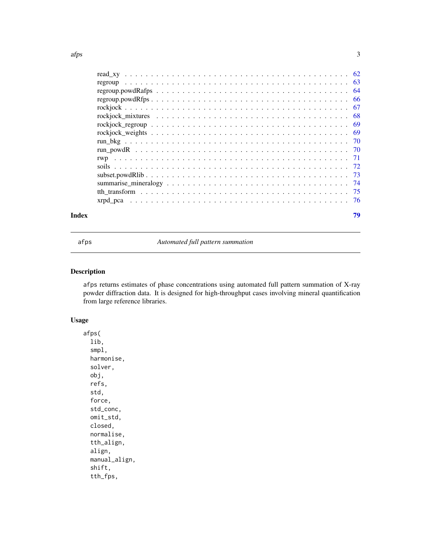<span id="page-2-0"></span>

| Index | 79 |
|-------|----|
|       |    |
|       |    |
|       |    |
|       |    |
|       |    |
|       |    |
|       |    |
|       |    |
|       |    |
|       |    |
|       |    |
|       |    |
|       |    |
|       |    |
|       |    |
|       |    |

afps *Automated full pattern summation*

# Description

afps returns estimates of phase concentrations using automated full pattern summation of X-ray powder diffraction data. It is designed for high-throughput cases involving mineral quantification from large reference libraries.

# Usage

afps( lib, smpl, harmonise, solver, obj, refs, std, force, std\_conc, omit\_std, closed, normalise, tth\_align, align, manual\_align, shift, tth\_fps,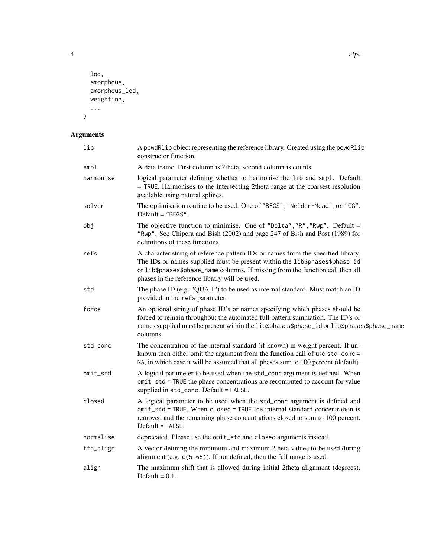```
lod,
  amorphous,
  amorphous_lod,
  weighting,
  ...
\mathcal{L}
```
# Arguments

| lib       | A powdRlib object representing the reference library. Created using the powdRlib<br>constructor function.                                                                                                                                                                                         |
|-----------|---------------------------------------------------------------------------------------------------------------------------------------------------------------------------------------------------------------------------------------------------------------------------------------------------|
| smpl      | A data frame. First column is 2theta, second column is counts                                                                                                                                                                                                                                     |
| harmonise | logical parameter defining whether to harmonise the lib and smpl. Default<br>= TRUE. Harmonises to the intersecting 2theta range at the coarsest resolution<br>available using natural splines.                                                                                                   |
| solver    | The optimisation routine to be used. One of "BFGS", "Nelder-Mead", or "CG".<br>Default $=$ "BFGS".                                                                                                                                                                                                |
| obj       | The objective function to minimise. One of "Delta", "R", "Rwp". Default =<br>"Rwp". See Chipera and Bish (2002) and page 247 of Bish and Post (1989) for<br>definitions of these functions.                                                                                                       |
| refs      | A character string of reference pattern IDs or names from the specified library.<br>The IDs or names supplied must be present within the lib\$phases\$phase_id<br>or lib\$phases\$phase_name columns. If missing from the function call then all<br>phases in the reference library will be used. |
| std       | The phase ID (e.g. "QUA.1") to be used as internal standard. Must match an ID<br>provided in the refs parameter.                                                                                                                                                                                  |
| force     | An optional string of phase ID's or names specifying which phases should be<br>forced to remain throughout the automated full pattern summation. The ID's or<br>names supplied must be present within the lib\$phases\$phase_id or lib\$phases\$phase_name<br>columns.                            |
| std_conc  | The concentration of the internal standard (if known) in weight percent. If un-<br>known then either omit the argument from the function call of use std_conc =<br>NA, in which case it will be assumed that all phases sum to 100 percent (default).                                             |
| omit_std  | A logical parameter to be used when the std_conc argument is defined. When<br>omit_std = TRUE the phase concentrations are recomputed to account for value<br>supplied in std_conc. Default = FALSE.                                                                                              |
| closed    | A logical parameter to be used when the std_conc argument is defined and<br>omit_std = TRUE. When closed = TRUE the internal standard concentration is<br>removed and the remaining phase concentrations closed to sum to 100 percent.<br>$Default = FALSE.$                                      |
| normalise | deprecated. Please use the omit_std and closed arguments instead.                                                                                                                                                                                                                                 |
| tth_align | A vector defining the minimum and maximum 2theta values to be used during<br>alignment (e.g. $c(5, 65)$ ). If not defined, then the full range is used.                                                                                                                                           |
| align     | The maximum shift that is allowed during initial 2theta alignment (degrees).<br>Default = $0.1$ .                                                                                                                                                                                                 |

4 afps and the state of the state of the state of the state of the state of the state of the state of the state of the state of the state of the state of the state of the state of the state of the state of the state of the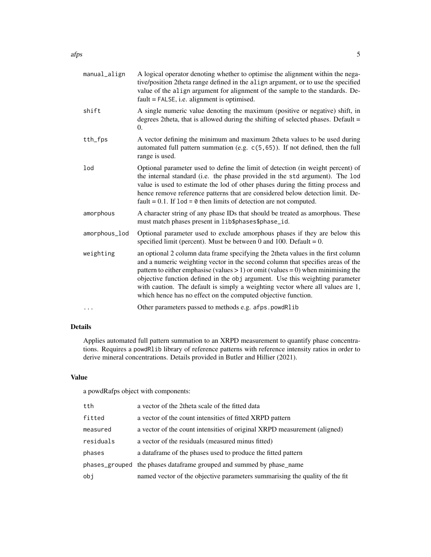| manual_align  | A logical operator denoting whether to optimise the alignment within the nega-<br>tive/position 2theta range defined in the align argument, or to use the specified<br>value of the align argument for alignment of the sample to the standards. De-<br>$fault = FALSE, i.e. alignment is optimised.$                                                                                                                                                                                          |
|---------------|------------------------------------------------------------------------------------------------------------------------------------------------------------------------------------------------------------------------------------------------------------------------------------------------------------------------------------------------------------------------------------------------------------------------------------------------------------------------------------------------|
| shift         | A single numeric value denoting the maximum (positive or negative) shift, in<br>degrees 2theta, that is allowed during the shifting of selected phases. Default =<br>0.                                                                                                                                                                                                                                                                                                                        |
| tth_fps       | A vector defining the minimum and maximum 2 theta values to be used during<br>automated full pattern summation (e.g. c(5,65)). If not defined, then the full<br>range is used.                                                                                                                                                                                                                                                                                                                 |
| lod           | Optional parameter used to define the limit of detection (in weight percent) of<br>the internal standard (i.e. the phase provided in the std argument). The lod<br>value is used to estimate the lod of other phases during the fitting process and<br>hence remove reference patterns that are considered below detection limit. De-<br>fault = $0.1$ . If $1od = 0$ then limits of detection are not computed.                                                                               |
| amorphous     | A character string of any phase IDs that should be treated as amorphous. These<br>must match phases present in lib\$phases\$phase_id.                                                                                                                                                                                                                                                                                                                                                          |
| amorphous_lod | Optional parameter used to exclude amorphous phases if they are below this<br>specified limit (percent). Must be between 0 and 100. Default = $0$ .                                                                                                                                                                                                                                                                                                                                            |
| weighting     | an optional 2 column data frame specifying the 2theta values in the first column<br>and a numeric weighting vector in the second column that specifies areas of the<br>pattern to either emphasise (values $> 1$ ) or omit (values = 0) when minimising the<br>objective function defined in the obj argument. Use this weighting parameter<br>with caution. The default is simply a weighting vector where all values are 1,<br>which hence has no effect on the computed objective function. |
|               | Other parameters passed to methods e.g. afps.powdRlib                                                                                                                                                                                                                                                                                                                                                                                                                                          |

# Details

Applies automated full pattern summation to an XRPD measurement to quantify phase concentrations. Requires a powdRlib library of reference patterns with reference intensity ratios in order to derive mineral concentrations. Details provided in Butler and Hillier (2021).

# Value

a powdRafps object with components:

| tth       | a vector of the 2theta scale of the fitted data                             |
|-----------|-----------------------------------------------------------------------------|
| fitted    | a vector of the count intensities of fitted XRPD pattern                    |
| measured  | a vector of the count intensities of original XRPD measurement (aligned)    |
| residuals | a vector of the residuals (measured minus fitted)                           |
| phases    | a data frame of the phases used to produce the fitted pattern               |
|           | phases_grouped the phases dataframe grouped and summed by phase_name        |
| obj       | named vector of the objective parameters summarising the quality of the fit |
|           |                                                                             |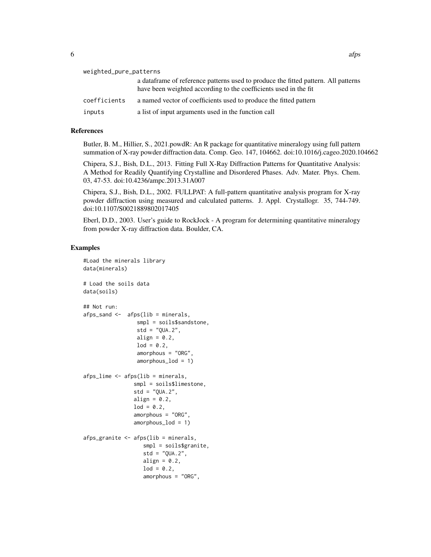| weighted_pure_patterns |                                                                                                                                                         |  |
|------------------------|---------------------------------------------------------------------------------------------------------------------------------------------------------|--|
|                        | a data frame of reference patterns used to produce the fitted pattern. All patterns<br>have been weighted according to the coefficients used in the fit |  |
| coefficients           | a named vector of coefficients used to produce the fitted pattern                                                                                       |  |
| inputs                 | a list of input arguments used in the function call                                                                                                     |  |

# References

Butler, B. M., Hillier, S., 2021.powdR: An R package for quantitative mineralogy using full pattern summation of X-ray powder diffraction data. Comp. Geo. 147, 104662. doi:10.1016/j.cageo.2020.104662

Chipera, S.J., Bish, D.L., 2013. Fitting Full X-Ray Diffraction Patterns for Quantitative Analysis: A Method for Readily Quantifying Crystalline and Disordered Phases. Adv. Mater. Phys. Chem. 03, 47-53. doi:10.4236/ampc.2013.31A007

Chipera, S.J., Bish, D.L., 2002. FULLPAT: A full-pattern quantitative analysis program for X-ray powder diffraction using measured and calculated patterns. J. Appl. Crystallogr. 35, 744-749. doi:10.1107/S0021889802017405

Eberl, D.D., 2003. User's guide to RockJock - A program for determining quantitative mineralogy from powder X-ray diffraction data. Boulder, CA.

#### Examples

```
#Load the minerals library
data(minerals)
# Load the soils data
data(soils)
## Not run:
afps\_sand \leftarrow afps(lib = minerals,smpl = soils$sandstone,
                 std = "QUA.2",align = 0.2,
                 1od = 0.2,
                 amorphous = "ORG",
                 amorphous_lod = 1)
afps_lime <- afps(lib = minerals,
                smpl = soils$limestone,
                std = "QUA.2",align = 0.2,
                1od = 0.2,
                amorphous = "ORG",
                amorphous_lod = 1)
afps_granite <- afps(lib = minerals,
                   smpl = soils$granite,
                   std = "QUA.2",align = 0.2,
                   lod = 0.2,amorphous = "ORG",
```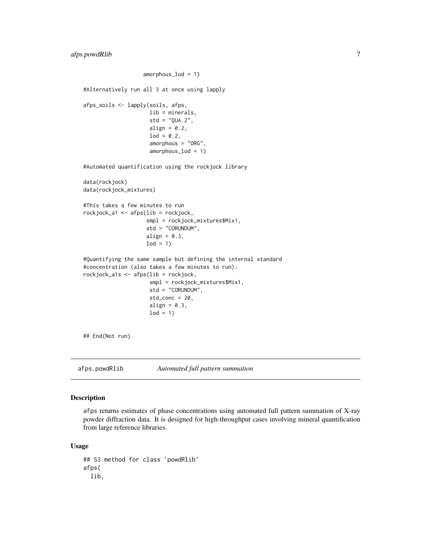```
amorphous_lod = 1)
#Alternatively run all 3 at once using lapply
afps_soils <- lapply(soils, afps,
                     lib = minerals,
                     std = "QUA.2",align = 0.2,
                     lod = 0.2,amorphous = "ORG",
                     amorphous_lod = 1)
#Automated quantification using the rockjock library
data(rockjock)
data(rockjock_mixtures)
#This takes a few minutes to run
rockjock_a1 <- afps(lib = rockjock,
                    smpl = rockjock_mixtures$Mix1,
                    std = "CORUNDUM",
                    align = 0.3,
                    1od = 1#Quantifying the same sample but defining the internal standard
#concentration (also takes a few minutes to run):
rockjock_a1s <- afps(lib = rockjock,
                     smpl = rockjock_mixtures$Mix1,
                     std = "CORUNDUM",
                     std_conc = 20,
                     align = 0.3,
                     \text{lod} = 1## End(Not run)
```

```
afps.powdRlib Automated full pattern summation
```
#### Description

afps returns estimates of phase concentrations using automated full pattern summation of X-ray powder diffraction data. It is designed for high-throughput cases involving mineral quantification from large reference libraries.

#### Usage

```
## S3 method for class 'powdRlib'
afps(
  lib,
```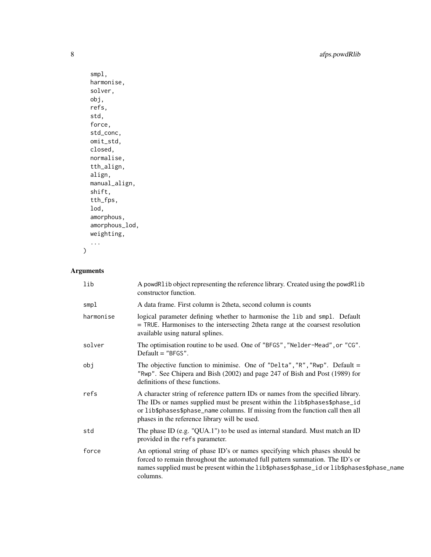```
smpl,
harmonise,
solver,
obj,
refs,
std,
force,
std_conc,
omit_std,
closed,
normalise,
tth_align,
align,
manual_align,
shift,
tth_fps,
lod,
amorphous,
amorphous_lod,
weighting,
...
```
# Arguments

 $\mathcal{L}$ 

| lib       | A powdR1ib object representing the reference library. Created using the powdR1ib<br>constructor function.                                                                                                                                                                                         |
|-----------|---------------------------------------------------------------------------------------------------------------------------------------------------------------------------------------------------------------------------------------------------------------------------------------------------|
| smpl      | A data frame. First column is 2 theta, second column is counts                                                                                                                                                                                                                                    |
| harmonise | logical parameter defining whether to harmonise the lib and smpl. Default<br>= TRUE. Harmonises to the intersecting 2theta range at the coarsest resolution<br>available using natural splines.                                                                                                   |
| solver    | The optimisation routine to be used. One of "BFGS", "Nelder-Mead", or "CG".<br>Default $=$ "BFGS".                                                                                                                                                                                                |
| obj       | The objective function to minimise. One of "Delta", "R", "Rwp". Default =<br>"Rwp". See Chipera and Bish (2002) and page 247 of Bish and Post (1989) for<br>definitions of these functions.                                                                                                       |
| refs      | A character string of reference pattern IDs or names from the specified library.<br>The IDs or names supplied must be present within the lib\$phases\$phase_id<br>or lib\$phases\$phase_name columns. If missing from the function call then all<br>phases in the reference library will be used. |
| std       | The phase ID (e.g. "QUA.1") to be used as internal standard. Must match an ID<br>provided in the refs parameter.                                                                                                                                                                                  |
| force     | An optional string of phase ID's or names specifying which phases should be<br>forced to remain throughout the automated full pattern summation. The ID's or<br>names supplied must be present within the lib\$phases\$phase_id or lib\$phases\$phase_name<br>columns.                            |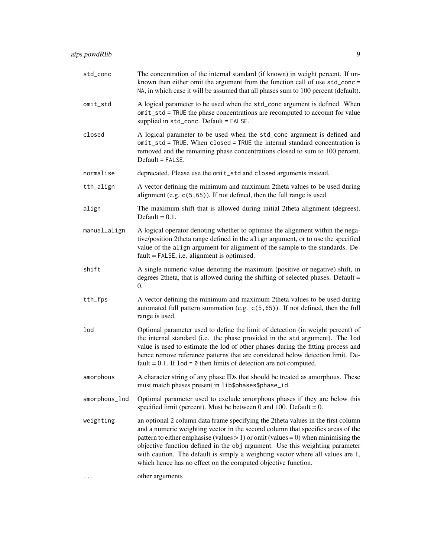| std_conc      | The concentration of the internal standard (if known) in weight percent. If un-<br>known then either omit the argument from the function call of use std_conc =<br>NA, in which case it will be assumed that all phases sum to 100 percent (default).                                                                                                                                                                                                                                          |
|---------------|------------------------------------------------------------------------------------------------------------------------------------------------------------------------------------------------------------------------------------------------------------------------------------------------------------------------------------------------------------------------------------------------------------------------------------------------------------------------------------------------|
| omit_std      | A logical parameter to be used when the std_conc argument is defined. When<br>omit_std = TRUE the phase concentrations are recomputed to account for value<br>supplied in std_conc. Default = FALSE.                                                                                                                                                                                                                                                                                           |
| closed        | A logical parameter to be used when the std_conc argument is defined and<br>omit_std = TRUE. When closed = TRUE the internal standard concentration is<br>removed and the remaining phase concentrations closed to sum to 100 percent.<br>Default = FALSE.                                                                                                                                                                                                                                     |
| normalise     | deprecated. Please use the omit_std and closed arguments instead.                                                                                                                                                                                                                                                                                                                                                                                                                              |
| tth_align     | A vector defining the minimum and maximum 2theta values to be used during<br>alignment (e.g. $c(5, 65)$ ). If not defined, then the full range is used.                                                                                                                                                                                                                                                                                                                                        |
| align         | The maximum shift that is allowed during initial 2theta alignment (degrees).<br>Default = $0.1$ .                                                                                                                                                                                                                                                                                                                                                                                              |
| manual_align  | A logical operator denoting whether to optimise the alignment within the nega-<br>tive/position 2theta range defined in the align argument, or to use the specified<br>value of the align argument for alignment of the sample to the standards. De-<br>$fault = FALSE, i.e. alignment is optimised.$                                                                                                                                                                                          |
| shift         | A single numeric value denoting the maximum (positive or negative) shift, in<br>degrees 2theta, that is allowed during the shifting of selected phases. Default $=$<br>0.                                                                                                                                                                                                                                                                                                                      |
| tth_fps       | A vector defining the minimum and maximum 2theta values to be used during<br>automated full pattern summation (e.g. c(5,65)). If not defined, then the full<br>range is used.                                                                                                                                                                                                                                                                                                                  |
| lod           | Optional parameter used to define the limit of detection (in weight percent) of<br>the internal standard (i.e. the phase provided in the std argument). The lod<br>value is used to estimate the lod of other phases during the fitting process and<br>hence remove reference patterns that are considered below detection limit. De-<br>fault = $0.1$ . If $1od = 0$ then limits of detection are not computed.                                                                               |
| amorphous     | A character string of any phase IDs that should be treated as amorphous. These<br>must match phases present in lib\$phases\$phase_id.                                                                                                                                                                                                                                                                                                                                                          |
| amorphous_lod | Optional parameter used to exclude amorphous phases if they are below this<br>specified limit (percent). Must be between 0 and 100. Default = $0$ .                                                                                                                                                                                                                                                                                                                                            |
| weighting     | an optional 2 column data frame specifying the 2theta values in the first column<br>and a numeric weighting vector in the second column that specifies areas of the<br>pattern to either emphasise (values $> 1$ ) or omit (values = 0) when minimising the<br>objective function defined in the obj argument. Use this weighting parameter<br>with caution. The default is simply a weighting vector where all values are 1,<br>which hence has no effect on the computed objective function. |

... other arguments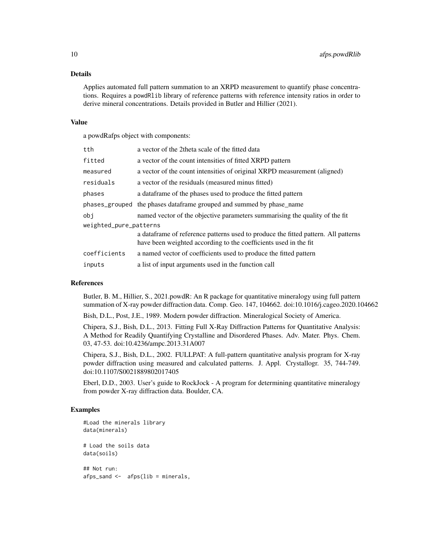# Details

Applies automated full pattern summation to an XRPD measurement to quantify phase concentrations. Requires a powdRlib library of reference patterns with reference intensity ratios in order to derive mineral concentrations. Details provided in Butler and Hillier (2021).

#### Value

a powdRafps object with components:

| tth                    | a vector of the 2theta scale of the fitted data                                                                                                         |  |
|------------------------|---------------------------------------------------------------------------------------------------------------------------------------------------------|--|
| fitted                 | a vector of the count intensities of fitted XRPD pattern                                                                                                |  |
| measured               | a vector of the count intensities of original XRPD measurement (aligned)                                                                                |  |
| residuals              | a vector of the residuals (measured minus fitted)                                                                                                       |  |
| phases                 | a data frame of the phases used to produce the fitted pattern                                                                                           |  |
|                        | phases_grouped the phases dataframe grouped and summed by phase_name                                                                                    |  |
| obi                    | named vector of the objective parameters summarising the quality of the fit                                                                             |  |
| weighted_pure_patterns |                                                                                                                                                         |  |
|                        | a data frame of reference patterns used to produce the fitted pattern. All patterns<br>have been weighted according to the coefficients used in the fit |  |
| coefficients           | a named vector of coefficients used to produce the fitted pattern                                                                                       |  |
| inputs                 | a list of input arguments used in the function call                                                                                                     |  |

# References

Butler, B. M., Hillier, S., 2021.powdR: An R package for quantitative mineralogy using full pattern summation of X-ray powder diffraction data. Comp. Geo. 147, 104662. doi:10.1016/j.cageo.2020.104662

Bish, D.L., Post, J.E., 1989. Modern powder diffraction. Mineralogical Society of America.

Chipera, S.J., Bish, D.L., 2013. Fitting Full X-Ray Diffraction Patterns for Quantitative Analysis: A Method for Readily Quantifying Crystalline and Disordered Phases. Adv. Mater. Phys. Chem. 03, 47-53. doi:10.4236/ampc.2013.31A007

Chipera, S.J., Bish, D.L., 2002. FULLPAT: A full-pattern quantitative analysis program for X-ray powder diffraction using measured and calculated patterns. J. Appl. Crystallogr. 35, 744-749. doi:10.1107/S0021889802017405

Eberl, D.D., 2003. User's guide to RockJock - A program for determining quantitative mineralogy from powder X-ray diffraction data. Boulder, CA.

## Examples

```
#Load the minerals library
data(minerals)
# Load the soils data
data(soils)
## Not run:
afps_sand <- afps(lib = minerals,
```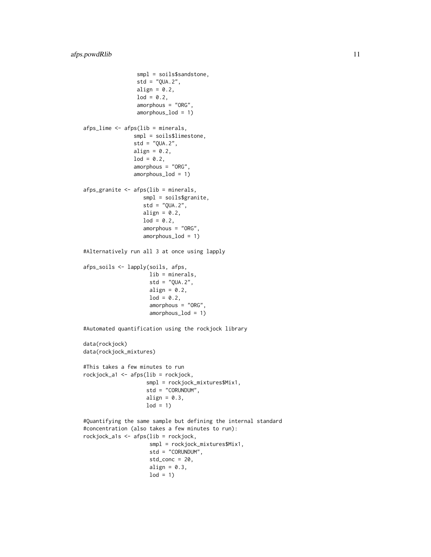```
smpl = soils$sandstone,
                 std = "QUA.2",align = 0.2,
                 \text{lod} = 0.2,
                 amorphous = "ORG",
                 amorphous_lod = 1)
afps_lime <- afps(lib = minerals,
                smpl = soils$limestone,
                std = "QUA.2",align = 0.2,
                1od = 0.2,
                amorphous = "ORG",
                amorphous_lod = 1)
afps_granite <- afps(lib = minerals,
                   smpl = soils$granite,
                   std = "QUA.2",align = 0.2,
                   1od = 0.2,
                   amorphous = "ORG",
                   amorphous_lod = 1)
#Alternatively run all 3 at once using lapply
afps_soils <- lapply(soils, afps,
                     lib = minerals,
                     std = "QUA.2",align = 0.2,
                     lod = 0.2,amorphous = "ORG",
                     amorphous_lod = 1)
#Automated quantification using the rockjock library
data(rockjock)
data(rockjock_mixtures)
#This takes a few minutes to run
rockjock_a1 <- afps(lib = rockjock,
                    smpl = rockjock_mixtures$Mix1,
                    std = "CORUNDUM",
                    align = 0.3,
                    1od = 1#Quantifying the same sample but defining the internal standard
#concentration (also takes a few minutes to run):
rockjock_a1s <- afps(lib = rockjock,
                     smpl = rockjock_mixtures$Mix1,
                     std = "CORUNDUM",
                     std_conc = 20,
                     align = 0.3,
                     1od = 1
```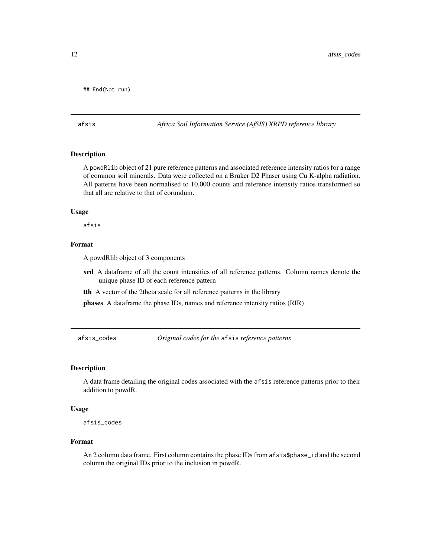```
## End(Not run)
```
#### afsis *Africa Soil Information Service (AfSIS) XRPD reference library*

# Description

A powdRlib object of 21 pure reference patterns and associated reference intensity ratios for a range of common soil minerals. Data were collected on a Bruker D2 Phaser using Cu K-alpha radiation. All patterns have been normalised to 10,000 counts and reference intensity ratios transformed so that all are relative to that of corundum.

#### Usage

afsis

# Format

A powdRlib object of 3 components

- xrd A dataframe of all the count intensities of all reference patterns. Column names denote the unique phase ID of each reference pattern
- tth A vector of the 2theta scale for all reference patterns in the library

phases A dataframe the phase IDs, names and reference intensity ratios (RIR)

afsis\_codes *Original codes for the* afsis *reference patterns*

# Description

A data frame detailing the original codes associated with the afsis reference patterns prior to their addition to powdR.

#### Usage

afsis\_codes

#### Format

An 2 column data frame. First column contains the phase IDs from afsis\$phase\_id and the second column the original IDs prior to the inclusion in powdR.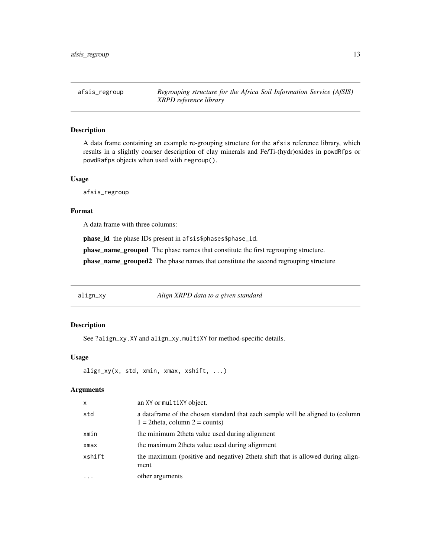<span id="page-12-0"></span>afsis\_regroup *Regrouping structure for the Africa Soil Information Service (AfSIS) XRPD reference library*

# Description

A data frame containing an example re-grouping structure for the afsis reference library, which results in a slightly coarser description of clay minerals and Fe/Ti-(hydr)oxides in powdRfps or powdRafps objects when used with regroup().

#### Usage

afsis\_regroup

#### Format

A data frame with three columns:

phase\_id the phase IDs present in afsis\$phases\$phase\_id.

phase\_name\_grouped The phase names that constitute the first regrouping structure.

phase\_name\_grouped2 The phase names that constitute the second regrouping structure

align\_xy *Align XRPD data to a given standard*

# Description

See ?align\_xy.XY and align\_xy.multiXY for method-specific details.

## Usage

align\_xy(x, std, xmin, xmax, xshift, ...)

#### Arguments

| $\mathsf{x}$ | an XY or multiXY object.                                                                                               |
|--------------|------------------------------------------------------------------------------------------------------------------------|
| std          | a data frame of the chosen standard that each sample will be aligned to (column<br>$1 = 2$ theta, column $2 =$ counts) |
| xmin         | the minimum 2 theta value used during alignment                                                                        |
| xmax         | the maximum 2 theta value used during alignment                                                                        |
| xshift       | the maximum (positive and negative) 2theta shift that is allowed during align-<br>ment                                 |
| $\ddots$     | other arguments                                                                                                        |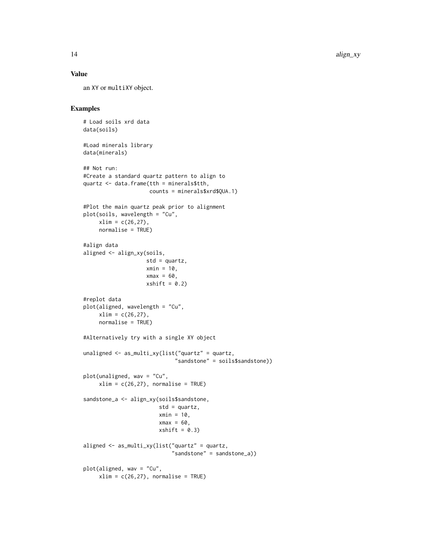# Value

an XY or multiXY object.

# Examples

```
# Load soils xrd data
data(soils)
#Load minerals library
data(minerals)
## Not run:
#Create a standard quartz pattern to align to
quartz <- data.frame(tth = minerals$tth,
                     counts = minerals$xrd$QUA.1)
#Plot the main quartz peak prior to alignment
plot(soils, wavelength = "Cu",
     xlim = c(26, 27),
     normalise = TRUE)
#align data
aligned <- align_xy(soils,
                    std = quartz,
                    xmin = 10,
                    xmax = 60,
                    xshift = 0.2)#replot data
plot(aligned, wavelength = "Cu",
     xlim = c(26, 27),
     normalise = TRUE)
#Alternatively try with a single XY object
unaligned <- as_multi_xy(list("quartz" = quartz,
                              "sandstone" = soils$sandstone))
plot(unaligned, wav = "Cu",
     xlim = c(26, 27), normalise = TRUE)
sandstone_a <- align_xy(soils$sandstone,
                        std = quartz,
                        xmin = 10,
                        xmax = 60,
                        xshift = 0.3)aligned <- as_multi_xy(list("quartz" = quartz,
                             "sandstone" = sandstone_a))
plot(aligned, wav = "Cu",
     xlim = c(26, 27), normalise = TRUE)
```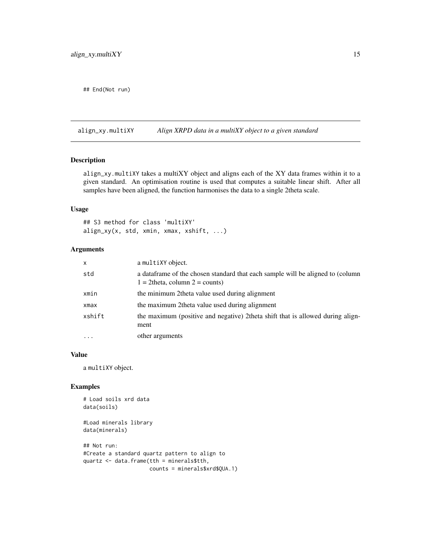<span id="page-14-0"></span>## End(Not run)

align\_xy.multiXY *Align XRPD data in a multiXY object to a given standard*

# Description

align\_xy.multiXY takes a multiXY object and aligns each of the XY data frames within it to a given standard. An optimisation routine is used that computes a suitable linear shift. After all samples have been aligned, the function harmonises the data to a single 2theta scale.

#### Usage

## S3 method for class 'multiXY' align\_xy(x, std, xmin, xmax, xshift, ...)

# Arguments

| $\mathsf{x}$ | a multiXY object.                                                                                                      |
|--------------|------------------------------------------------------------------------------------------------------------------------|
| std          | a data frame of the chosen standard that each sample will be aligned to (column<br>$1 = 2$ theta, column $2 =$ counts) |
| xmin         | the minimum 2theta value used during alignment                                                                         |
| xmax         | the maximum 2 theta value used during alignment                                                                        |
| xshift       | the maximum (positive and negative) 2theta shift that is allowed during align-<br>ment                                 |
| $\cdot$      | other arguments                                                                                                        |

#### Value

a multiXY object.

# Examples

```
# Load soils xrd data
data(soils)
```
#Load minerals library data(minerals)

```
## Not run:
#Create a standard quartz pattern to align to
quartz <- data.frame(tth = minerals$tth,
                    counts = minerals$xrd$QUA.1)
```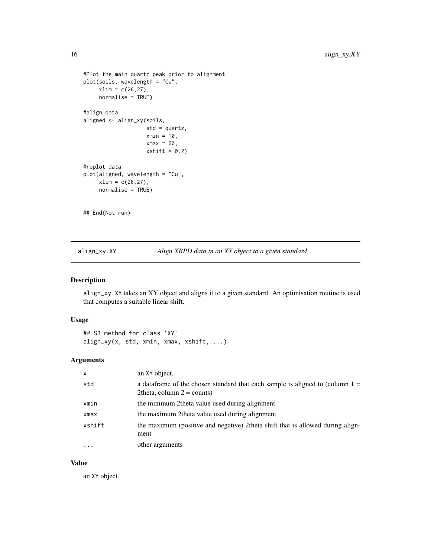```
#Plot the main quartz peak prior to alignment
plot(soils, wavelength = "Cu",
     xlim = c(26, 27),normalise = TRUE)
#align data
aligned <- align_xy(soils,
                    std = quartz,
                    xmin = 10,
                    xmax = 60,
                    xshift = 0.2)#replot data
plot(aligned, wavelength = "Cu",
     xlim = c(26, 27),
     normalise = TRUE)
## End(Not run)
```
align\_xy.XY *Align XRPD data in an XY object to a given standard*

#### Description

align\_xy.XY takes an XY object and aligns it to a given standard. An optimisation routine is used that computes a suitable linear shift.

#### Usage

## S3 method for class 'XY' align\_xy(x, std, xmin, xmax, xshift, ...)

# Arguments

| $\mathsf{x}$ | an XY object.                                                                                                     |
|--------------|-------------------------------------------------------------------------------------------------------------------|
| std          | a data frame of the chosen standard that each sample is aligned to (column $1 =$<br>2 theta, column $2 =$ counts) |
| xmin         | the minimum 2 theta value used during alignment                                                                   |
| xmax         | the maximum 2theta value used during alignment                                                                    |
| xshift       | the maximum (positive and negative) 2theta shift that is allowed during align-<br>ment                            |
| $\cdots$     | other arguments                                                                                                   |

## Value

an XY object.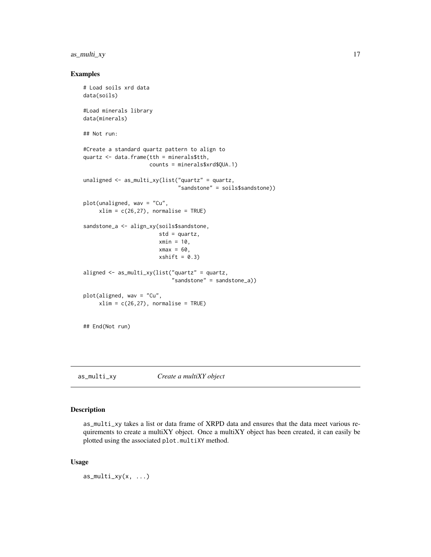# <span id="page-16-0"></span>as\_multi\_xy 17

#### Examples

```
# Load soils xrd data
data(soils)
#Load minerals library
data(minerals)
## Not run:
#Create a standard quartz pattern to align to
quartz <- data.frame(tth = minerals$tth,
                     counts = minerals$xrd$QUA.1)
unaligned <- as_multi_xy(list("quartz" = quartz,
                              "sandstone" = soils$sandstone))
plot(unaligned, wav = "Cu",
     xlim = c(26, 27), normalise = TRUE)
sandstone_a <- align_xy(soils$sandstone,
                        std = quartz,
                        xmin = 10,
                        xmax = 60,
                        xshift = 0.3)aligned <- as_multi_xy(list("quartz" = quartz,
                            "sandstone" = sandstone_a))
plot(aligned, wav = "Cu",
     xlim = c(26, 27), normalise = TRUE)
## End(Not run)
```
as\_multi\_xy *Create a multiXY object*

#### Description

as\_multi\_xy takes a list or data frame of XRPD data and ensures that the data meet various requirements to create a multiXY object. Once a multiXY object has been created, it can easily be plotted using the associated plot.multiXY method.

#### Usage

as\_multi\_xy(x, ...)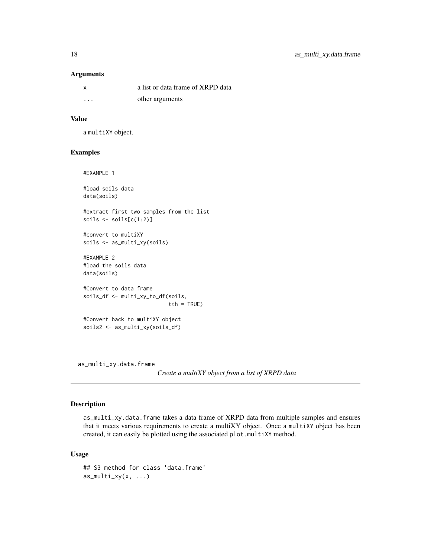#### Arguments

| x                       | a list or data frame of XRPD data |
|-------------------------|-----------------------------------|
| $\cdot$ $\cdot$ $\cdot$ | other arguments                   |

#### Value

a multiXY object.

#### Examples

#EXAMPLE 1

#load soils data data(soils)

#extract first two samples from the list soils <- soils[c(1:2)]

#convert to multiXY soils <- as\_multi\_xy(soils)

#EXAMPLE 2 #load the soils data data(soils)

#Convert to data frame soils\_df <- multi\_xy\_to\_df(soils, tth = TRUE)

#Convert back to multiXY object soils2 <- as\_multi\_xy(soils\_df)

as\_multi\_xy.data.frame

*Create a multiXY object from a list of XRPD data*

# Description

as\_multi\_xy.data.frame takes a data frame of XRPD data from multiple samples and ensures that it meets various requirements to create a multiXY object. Once a multiXY object has been created, it can easily be plotted using the associated plot.multiXY method.

## Usage

```
## S3 method for class 'data.frame'
as_multi_xy(x, \ldots)
```
<span id="page-17-0"></span>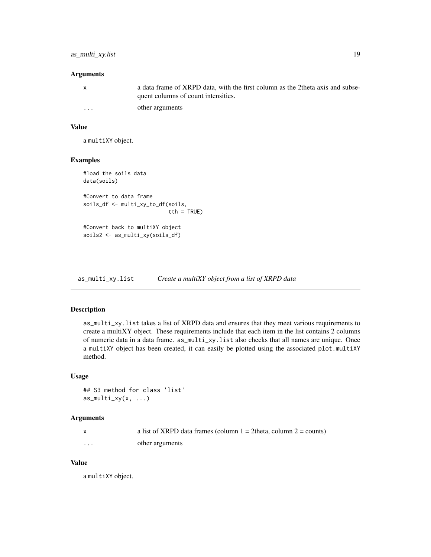#### <span id="page-18-0"></span>Arguments

| $\mathbf{x}$ | a data frame of XRPD data, with the first column as the 2theta axis and subse-<br>quent columns of count intensities. |
|--------------|-----------------------------------------------------------------------------------------------------------------------|
| $\cdots$     | other arguments                                                                                                       |

# Value

a multiXY object.

# Examples

```
#load the soils data
data(soils)
#Convert to data frame
soils_df <- multi_xy_to_df(soils,
                           tth = TRUE)
#Convert back to multiXY object
soils2 <- as_multi_xy(soils_df)
```
as\_multi\_xy.list *Create a multiXY object from a list of XRPD data*

# Description

as\_multi\_xy.list takes a list of XRPD data and ensures that they meet various requirements to create a multiXY object. These requirements include that each item in the list contains 2 columns of numeric data in a data frame. as\_multi\_xy.list also checks that all names are unique. Once a multiXY object has been created, it can easily be plotted using the associated plot.multiXY method.

#### Usage

```
## S3 method for class 'list'
as_multi_xy(x, \ldots)
```
# Arguments

|   | a list of XRPD data frames (column $1 = 2$ theta, column $2 =$ counts) |
|---|------------------------------------------------------------------------|
| . | other arguments                                                        |

# Value

a multiXY object.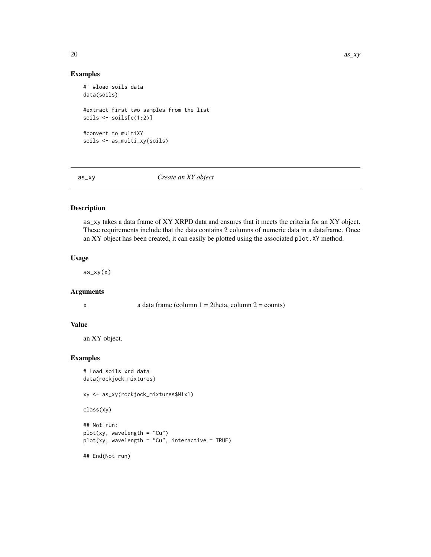# Examples

```
#' #load soils data
data(soils)
#extract first two samples from the list
soils \le soils[c(1:2)]#convert to multiXY
soils <- as_multi_xy(soils)
```
as\_xy *Create an XY object*

# Description

as\_xy takes a data frame of XY XRPD data and ensures that it meets the criteria for an XY object. These requirements include that the data contains 2 columns of numeric data in a dataframe. Once an XY object has been created, it can easily be plotted using the associated plot.XY method.

# Usage

 $as_{xy(x)}$ 

#### Arguments

x a data frame (column  $1 = 2$ theta, column  $2 =$  counts)

#### Value

an XY object.

#### Examples

```
# Load soils xrd data
data(rockjock_mixtures)
```
xy <- as\_xy(rockjock\_mixtures\$Mix1)

```
class(xy)
```

```
## Not run:
plot(xy, wavelength = "Cu")
plot(xy, wavelength = "Cu", interactive = TRUE)
```
## End(Not run)

<span id="page-19-0"></span>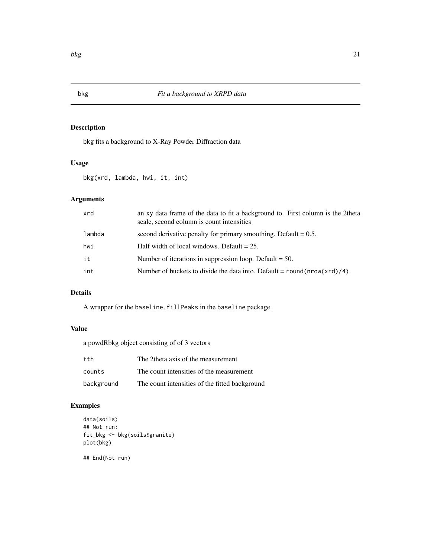# Description

bkg fits a background to X-Ray Powder Diffraction data

# Usage

bkg(xrd, lambda, hwi, it, int)

# Arguments

| xrd    | an xy data frame of the data to fit a background to. First column is the 2theta<br>scale, second column is count intensities |
|--------|------------------------------------------------------------------------------------------------------------------------------|
| lambda | second derivative penalty for primary smoothing. Default $= 0.5$ .                                                           |
| hwi    | Half width of local windows. Default $= 25$ .                                                                                |
| it     | Number of iterations in suppression loop. Default $= 50$ .                                                                   |
| int    | Number of buckets to divide the data into. Default = $round(nrow(xrd)/4)$ .                                                  |

# Details

A wrapper for the baseline.fillPeaks in the baseline package.

# Value

a powdRbkg object consisting of of 3 vectors

| tth        | The 2 theta axis of the measurement            |
|------------|------------------------------------------------|
| counts     | The count intensities of the measurement       |
| background | The count intensities of the fitted background |

# Examples

```
data(soils)
## Not run:
fit_bkg <- bkg(soils$granite)
plot(bkg)
```
## End(Not run)

<span id="page-20-0"></span>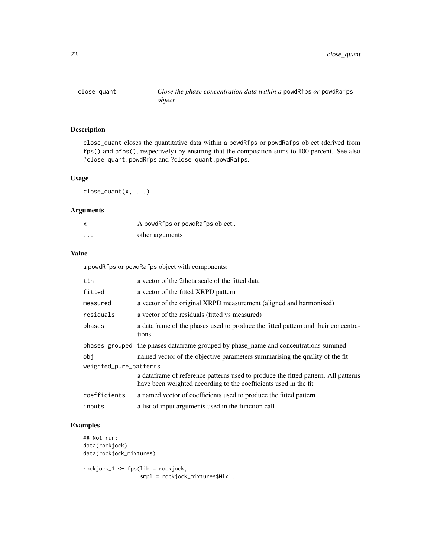<span id="page-21-0"></span>

# Description

close\_quant closes the quantitative data within a powdRfps or powdRafps object (derived from fps() and afps(), respectively) by ensuring that the composition sums to 100 percent. See also ?close\_quant.powdRfps and ?close\_quant.powdRafps.

# Usage

close\_quant(x, ...)

# Arguments

| x        | A powdRfps or powdRafps object |
|----------|--------------------------------|
| $\cdots$ | other arguments                |

## Value

a powdRfps or powdRafps object with components:

| tth.                   | a vector of the 2theta scale of the fitted data                                                                                                         |  |
|------------------------|---------------------------------------------------------------------------------------------------------------------------------------------------------|--|
| fitted                 | a vector of the fitted XRPD pattern                                                                                                                     |  |
| measured               | a vector of the original XRPD measurement (aligned and harmonised)                                                                                      |  |
| residuals              | a vector of the residuals (fitted vs measured)                                                                                                          |  |
| phases                 | a data frame of the phases used to produce the fitted pattern and their concentra-<br>tions                                                             |  |
|                        | phases_grouped the phases data frame grouped by phase_name and concentrations summed                                                                    |  |
| obi                    | named vector of the objective parameters summarising the quality of the fit                                                                             |  |
| weighted_pure_patterns |                                                                                                                                                         |  |
|                        | a data frame of reference patterns used to produce the fitted pattern. All patterns<br>have been weighted according to the coefficients used in the fit |  |
| coefficients           | a named vector of coefficients used to produce the fitted pattern                                                                                       |  |
| inputs                 | a list of input arguments used in the function call                                                                                                     |  |

# Examples

## Not run: data(rockjock) data(rockjock\_mixtures) rockjock\_1 <- fps(lib = rockjock,

smpl = rockjock\_mixtures\$Mix1,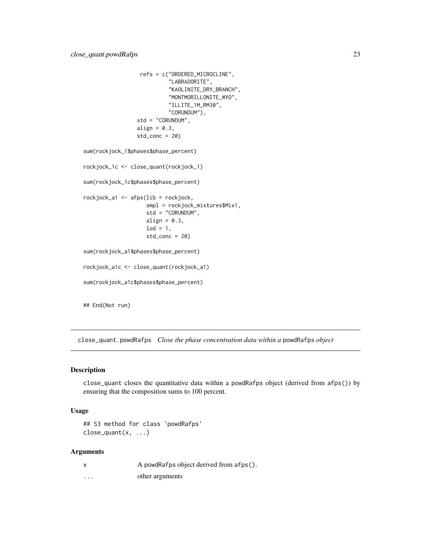```
refs = c("ORDERED_MICROCLINE",
                           "LABRADORITE",
                           "KAOLINITE_DRY_BRANCH",
                           "MONTMORILLONITE_WYO",
                           "ILLITE_1M_RM30",
                           "CORUNDUM"),
                 std = "CORUNDUM",
                 align = 0.3,
                 std\_conc = 20sum(rockjock_1$phases$phase_percent)
rockjock_1c <- close_quant(rockjock_1)
sum(rockjock_1c$phases$phase_percent)
rockjock_a1 <- afps(lib = rockjock,
                    smpl = rockjock_mixtures$Mix1,
                    std = "CORUNDUM",
                    align = 0.3,
                    \text{lod} = 1,
                    std\_conc = 20sum(rockjock_a1$phases$phase_percent)
rockjock_a1c <- close_quant(rockjock_a1)
sum(rockjock_a1c$phases$phase_percent)
## End(Not run)
```
close\_quant.powdRafps *Close the phase concentration data within a* powdRafps *object*

#### Description

close\_quant closes the quantitative data within a powdRafps object (derived from afps()) by ensuring that the composition sums to 100 percent.

#### Usage

```
## S3 method for class 'powdRafps'
close_quant(x, ...)
```
#### **Arguments**

|   | A powdRafps object derived from afps(). |
|---|-----------------------------------------|
| . | other arguments                         |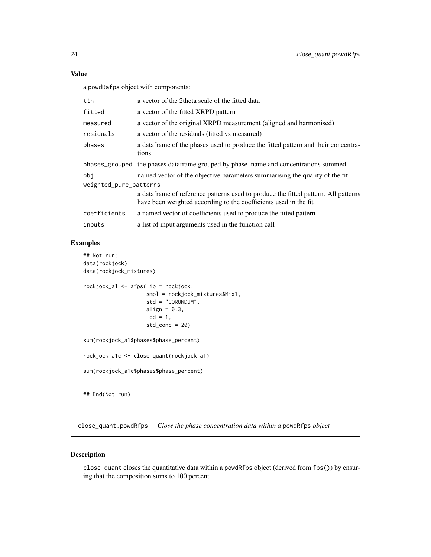a powdRafps object with components:

| tth                    | a vector of the 2theta scale of the fitted data                                                                                                         |  |
|------------------------|---------------------------------------------------------------------------------------------------------------------------------------------------------|--|
| fitted                 | a vector of the fitted XRPD pattern                                                                                                                     |  |
| measured               | a vector of the original XRPD measurement (aligned and harmonised)                                                                                      |  |
| residuals              | a vector of the residuals (fitted vs measured)                                                                                                          |  |
| phases                 | a data frame of the phases used to produce the fitted pattern and their concentra-<br>tions                                                             |  |
|                        | phases_grouped the phases dataframe grouped by phase_name and concentrations summed                                                                     |  |
| obi                    | named vector of the objective parameters summarising the quality of the fit                                                                             |  |
| weighted_pure_patterns |                                                                                                                                                         |  |
|                        | a data frame of reference patterns used to produce the fitted pattern. All patterns<br>have been weighted according to the coefficients used in the fit |  |
| coefficients           | a named vector of coefficients used to produce the fitted pattern                                                                                       |  |
| inputs                 | a list of input arguments used in the function call                                                                                                     |  |
|                        |                                                                                                                                                         |  |

# Examples

```
## Not run:
data(rockjock)
data(rockjock_mixtures)
rockjock_a1 <- afps(lib = rockjock,
                    smpl = rockjock_mixtures$Mix1,
                    std = "CORUNDUM",
                    align = 0.3,
                    \text{lod} = 1,
                    std\_conc = 20sum(rockjock_a1$phases$phase_percent)
rockjock_a1c <- close_quant(rockjock_a1)
sum(rockjock_a1c$phases$phase_percent)
## End(Not run)
```
close\_quant.powdRfps *Close the phase concentration data within a* powdRfps *object*

# Description

close\_quant closes the quantitative data within a powdRfps object (derived from fps()) by ensuring that the composition sums to 100 percent.

<span id="page-23-0"></span>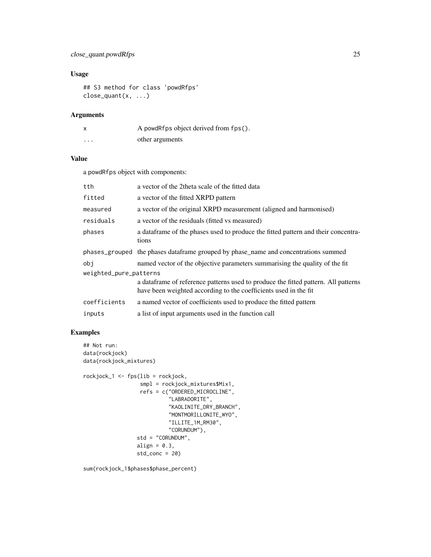# close\_quant.powdRfps 25

# Usage

```
## S3 method for class 'powdRfps'
close_quant(x, ...)
```
#### Arguments

| X        | A powdRfps object derived from fps(). |
|----------|---------------------------------------|
| $\cdots$ | other arguments                       |

# Value

a powdRfps object with components:

| tth                    | a vector of the 2theta scale of the fitted data                                                                                                         |
|------------------------|---------------------------------------------------------------------------------------------------------------------------------------------------------|
| fitted                 | a vector of the fitted XRPD pattern                                                                                                                     |
| measured               | a vector of the original XRPD measurement (aligned and harmonised)                                                                                      |
| residuals              | a vector of the residuals (fitted vs measured)                                                                                                          |
| phases                 | a data frame of the phases used to produce the fitted pattern and their concentra-<br>tions                                                             |
|                        | phases_grouped the phases dataframe grouped by phase_name and concentrations summed                                                                     |
| obi                    | named vector of the objective parameters summarising the quality of the fit                                                                             |
| weighted_pure_patterns |                                                                                                                                                         |
|                        | a data frame of reference patterns used to produce the fitted pattern. All patterns<br>have been weighted according to the coefficients used in the fit |
| coefficients           | a named vector of coefficients used to produce the fitted pattern                                                                                       |
| inputs                 | a list of input arguments used in the function call                                                                                                     |

# Examples

```
## Not run:
data(rockjock)
data(rockjock_mixtures)
```

```
rockjock_1 <- fps(lib = rockjock,
                 smpl = rockjock_mixtures$Mix1,
                 refs = c("ORDERED_MICROCLINE",
                           "LABRADORITE",
                           "KAOLINITE_DRY_BRANCH",
                           "MONTMORILLONITE_WYO",
                           "ILLITE_1M_RM30",
                           "CORUNDUM"),
                std = "CORUNDUM",
                 align = 0.3,
                 std\_conc = 20
```
sum(rockjock\_1\$phases\$phase\_percent)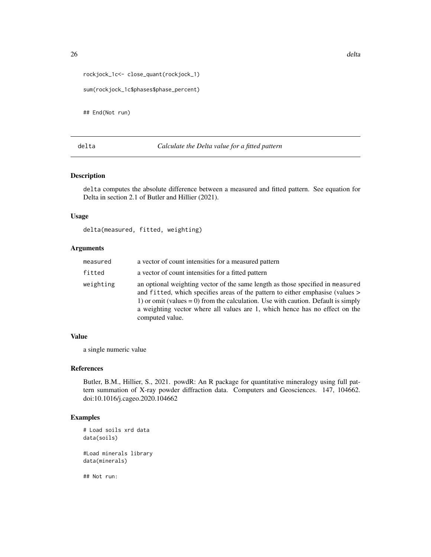```
rockjock_1c<- close_quant(rockjock_1)
sum(rockjock_1c$phases$phase_percent)
```
## End(Not run)

# delta *Calculate the Delta value for a fitted pattern*

#### Description

delta computes the absolute difference between a measured and fitted pattern. See equation for Delta in section 2.1 of Butler and Hillier (2021).

# Usage

delta(measured, fitted, weighting)

#### Arguments

| measured  | a vector of count intensities for a measured pattern                                                                                                                                                                                                                                                                                                       |
|-----------|------------------------------------------------------------------------------------------------------------------------------------------------------------------------------------------------------------------------------------------------------------------------------------------------------------------------------------------------------------|
| fitted    | a vector of count intensities for a fitted pattern                                                                                                                                                                                                                                                                                                         |
| weighting | an optional weighting vector of the same length as those specified in measured<br>and fitted, which specifies areas of the pattern to either emphasise (values ><br>1) or omit (values $= 0$ ) from the calculation. Use with caution. Default is simply<br>a weighting vector where all values are 1, which hence has no effect on the<br>computed value. |

# Value

a single numeric value

#### References

Butler, B.M., Hillier, S., 2021. powdR: An R package for quantitative mineralogy using full pattern summation of X-ray powder diffraction data. Computers and Geosciences. 147, 104662. doi:10.1016/j.cageo.2020.104662

# Examples

```
# Load soils xrd data
data(soils)
```
#Load minerals library data(minerals)

## Not run: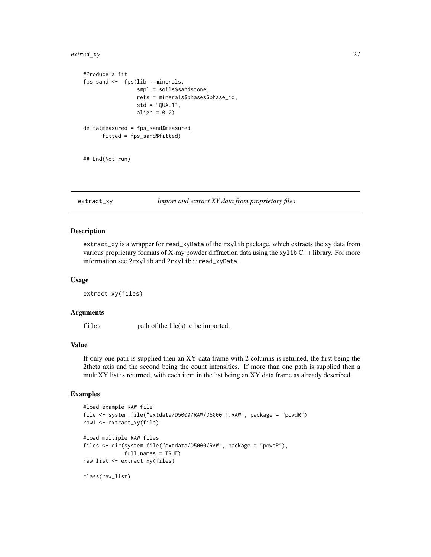# <span id="page-26-0"></span>extract\_xy 27

```
#Produce a fit
fps_sand \leq fps(lib = minerals,
                 smpl = soils$sandstone,
                 refs = minerals$phases$phase_id,
                 std = "QUA.1",
                 align = 0.2)
delta(measured = fps_sand$measured,
      fitted = fps_sand$fitted)
## End(Not run)
```
# extract\_xy *Import and extract XY data from proprietary files*

#### Description

extract\_xy is a wrapper for read\_xyData of the rxylib package, which extracts the xy data from various proprietary formats of X-ray powder diffraction data using the xylib C++ library. For more information see ?rxylib and ?rxylib::read\_xyData.

#### Usage

extract\_xy(files)

# Arguments

files path of the file(s) to be imported.

# Value

If only one path is supplied then an XY data frame with 2 columns is returned, the first being the 2theta axis and the second being the count intensities. If more than one path is supplied then a multiXY list is returned, with each item in the list being an XY data frame as already described.

# Examples

```
#load example RAW file
file <- system.file("extdata/D5000/RAW/D5000_1.RAW", package = "powdR")
raw1 <- extract_xy(file)
#Load multiple RAW files
files <- dir(system.file("extdata/D5000/RAW", package = "powdR"),
             full.names = TRUE)
raw_list <- extract_xy(files)
class(raw_list)
```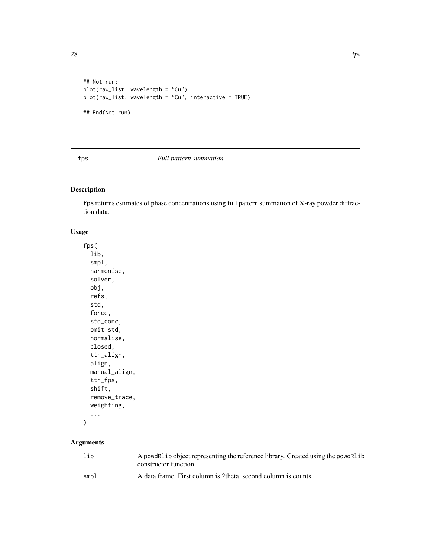```
## Not run:
plot(raw_list, wavelength = "Cu")
plot(raw_list, wavelength = "Cu", interactive = TRUE)
## End(Not run)
```
# fps *Full pattern summation*

# Description

fps returns estimates of phase concentrations using full pattern summation of X-ray powder diffraction data.

# Usage

fps( lib, smpl, harmonise, solver, obj, refs, std, force, std\_conc, omit\_std, normalise, closed, tth\_align, align, manual\_align, tth\_fps, shift, remove\_trace, weighting, ...

```
)
```
# Arguments

| lib  | A powdRl ib object representing the reference library. Created using the powdRl ib<br>constructor function. |
|------|-------------------------------------------------------------------------------------------------------------|
| smpl | A data frame. First column is 2 theta, second column is counts                                              |

<span id="page-27-0"></span>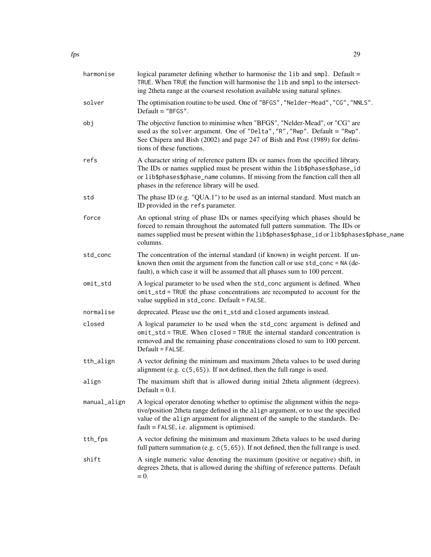| harmonise    | logical parameter defining whether to harmonise the lib and smpl. Default =<br>TRUE. When TRUE the function will harmonise the lib and smpl to the intersect-<br>ing 2theta range at the coarsest resolution available using natural splines.                                                         |
|--------------|-------------------------------------------------------------------------------------------------------------------------------------------------------------------------------------------------------------------------------------------------------------------------------------------------------|
| solver       | The optimisation routine to be used. One of "BFGS", "Nelder-Mead", "CG", "NNLS".<br>$Default = "BFGS".$                                                                                                                                                                                               |
| obj          | The objective function to minimise when "BFGS", "Nelder-Mead", or "CG" are<br>used as the solver argument. One of "Delta", "R", "Rwp". Default = "Rwp".<br>See Chipera and Bish (2002) and page 247 of Bish and Post (1989) for defini-<br>tions of these functions.                                  |
| refs         | A character string of reference pattern IDs or names from the specified library.<br>The IDs or names supplied must be present within the lib\$phases\$phase_id<br>or lib\$phases\$phase_name columns. If missing from the function call then all<br>phases in the reference library will be used.     |
| std          | The phase ID (e.g. "QUA.1") to be used as an internal standard. Must match an<br>ID provided in the refs parameter.                                                                                                                                                                                   |
| force        | An optional string of phase IDs or names specifying which phases should be<br>forced to remain throughout the automated full pattern summation. The IDs or<br>names supplied must be present within the lib\$phases\$phase_id or lib\$phases\$phase_name<br>columns.                                  |
| std_conc     | The concentration of the internal standard (if known) in weight percent. If un-<br>known then omit the argument from the function call or use std_conc = NA (de-<br>fault), n which case it will be assumed that all phases sum to 100 percent.                                                       |
| omit_std     | A logical parameter to be used when the std_conc argument is defined. When<br>omit_std = TRUE the phase concentrations are recomputed to account for the<br>value supplied in std_conc. Default = FALSE.                                                                                              |
| normalise    | deprecated. Please use the omit_std and closed arguments instead.                                                                                                                                                                                                                                     |
| closed       | A logical parameter to be used when the std_conc argument is defined and<br>omit_std = TRUE. When closed = TRUE the internal standard concentration is<br>removed and the remaining phase concentrations closed to sum to 100 percent.<br>Default = FALSE.                                            |
| tth_align    | A vector defining the minimum and maximum 2theta values to be used during<br>alignment (e.g. $c(5, 65)$ ). If not defined, then the full range is used.                                                                                                                                               |
| align        | The maximum shift that is allowed during initial 2theta alignment (degrees).<br>Default = $0.1$ .                                                                                                                                                                                                     |
| manual_align | A logical operator denoting whether to optimise the alignment within the nega-<br>tive/position 2theta range defined in the align argument, or to use the specified<br>value of the align argument for alignment of the sample to the standards. De-<br>$fault = FALSE, i.e. alignment is optimised.$ |
| tth_fps      | A vector defining the minimum and maximum 2theta values to be used during<br>full pattern summation (e.g. $c(5, 65)$ ). If not defined, then the full range is used.                                                                                                                                  |
| shift        | A single numeric value denoting the maximum (positive or negative) shift, in<br>degrees 2theta, that is allowed during the shifting of reference patterns. Default<br>$= 0.$                                                                                                                          |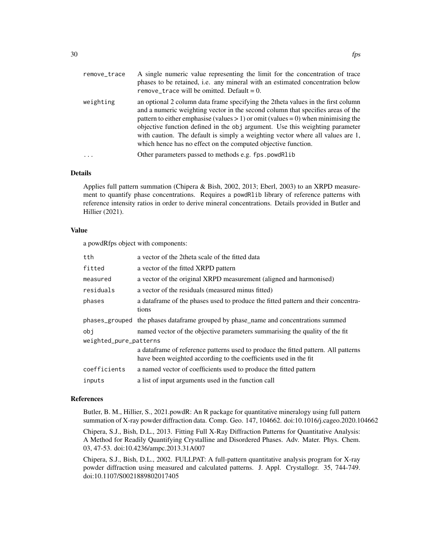| remove_trace | A single numeric value representing the limit for the concentration of trace<br>phases to be retained, i.e. any mineral with an estimated concentration below<br>remove_trace will be omitted. Default = $0$ .                                                                                                                                                                                                                                                                                 |
|--------------|------------------------------------------------------------------------------------------------------------------------------------------------------------------------------------------------------------------------------------------------------------------------------------------------------------------------------------------------------------------------------------------------------------------------------------------------------------------------------------------------|
| weighting    | an optional 2 column data frame specifying the 2theta values in the first column<br>and a numeric weighting vector in the second column that specifies areas of the<br>pattern to either emphasise (values $> 1$ ) or omit (values = 0) when minimising the<br>objective function defined in the obj argument. Use this weighting parameter<br>with caution. The default is simply a weighting vector where all values are 1,<br>which hence has no effect on the computed objective function. |
| $\ddots$ .   | Other parameters passed to methods e.g. fps. powdRlib                                                                                                                                                                                                                                                                                                                                                                                                                                          |

#### Details

Applies full pattern summation (Chipera & Bish, 2002, 2013; Eberl, 2003) to an XRPD measurement to quantify phase concentrations. Requires a powdRlib library of reference patterns with reference intensity ratios in order to derive mineral concentrations. Details provided in Butler and Hillier (2021).

#### Value

a powdRfps object with components:

| tth                    | a vector of the 2theta scale of the fitted data                                                                                                         |  |
|------------------------|---------------------------------------------------------------------------------------------------------------------------------------------------------|--|
| fitted                 | a vector of the fitted XRPD pattern                                                                                                                     |  |
| measured               | a vector of the original XRPD measurement (aligned and harmonised)                                                                                      |  |
| residuals              | a vector of the residuals (measured minus fitted)                                                                                                       |  |
| phases                 | a dataframe of the phases used to produce the fitted pattern and their concentra-<br>tions                                                              |  |
|                        | phases_grouped the phases data frame grouped by phase_name and concentrations summed                                                                    |  |
| obi                    | named vector of the objective parameters summarising the quality of the fit                                                                             |  |
| weighted_pure_patterns |                                                                                                                                                         |  |
|                        | a data frame of reference patterns used to produce the fitted pattern. All patterns<br>have been weighted according to the coefficients used in the fit |  |
| coefficients           | a named vector of coefficients used to produce the fitted pattern                                                                                       |  |
| inputs                 | a list of input arguments used in the function call                                                                                                     |  |

#### References

Butler, B. M., Hillier, S., 2021.powdR: An R package for quantitative mineralogy using full pattern summation of X-ray powder diffraction data. Comp. Geo. 147, 104662. doi:10.1016/j.cageo.2020.104662

Chipera, S.J., Bish, D.L., 2013. Fitting Full X-Ray Diffraction Patterns for Quantitative Analysis: A Method for Readily Quantifying Crystalline and Disordered Phases. Adv. Mater. Phys. Chem. 03, 47-53. doi:10.4236/ampc.2013.31A007

Chipera, S.J., Bish, D.L., 2002. FULLPAT: A full-pattern quantitative analysis program for X-ray powder diffraction using measured and calculated patterns. J. Appl. Crystallogr. 35, 744-749. doi:10.1107/S0021889802017405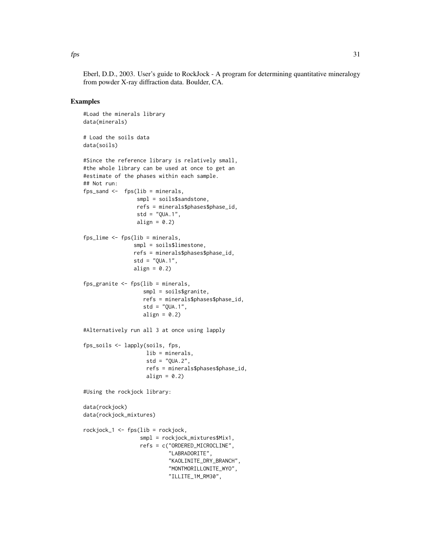$\frac{1}{31}$ 

Eberl, D.D., 2003. User's guide to RockJock - A program for determining quantitative mineralogy from powder X-ray diffraction data. Boulder, CA.

# Examples

```
#Load the minerals library
data(minerals)
# Load the soils data
data(soils)
#Since the reference library is relatively small,
#the whole library can be used at once to get an
#estimate of the phases within each sample.
## Not run:
fps_sand \leq fps(lib = minerals,
                 smpl = soils$sandstone,
                 refs = minerals$phases$phase_id,
                 std = "QUA.1",align = 0.2)
fps_lime <- fps(lib = minerals,
                smpl = soils$limestone,
                refs = minerals$phases$phase_id,
                std = "QUA.1",align = 0.2)
fps_granite <- fps(lib = minerals,
                   smpl = soils$granite,
                   refs = minerals$phases$phase_id,
                   std = "QUA.1",align = 0.2)
#Alternatively run all 3 at once using lapply
fps_soils <- lapply(soils, fps,
                    lib = minerals,
                    std = "QUA.2",refs = minerals$phases$phase_id,
                    align = 0.2)
#Using the rockjock library:
data(rockjock)
data(rockjock_mixtures)
rockjock_1 <- fps(lib = rockjock,
                  smpl = rockjock_mixtures$Mix1,
                  refs = c("ORDERED_MICROCLINE",
                           "LABRADORITE",
                           "KAOLINITE_DRY_BRANCH",
                           "MONTMORILLONITE_WYO",
                           "ILLITE_1M_RM30",
```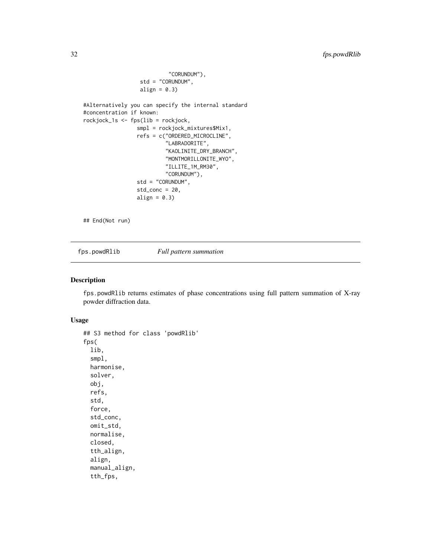```
"CORUNDUM"),
                  std = "CORUNDUM",
                  align = 0.3)
#Alternatively you can specify the internal standard
#concentration if known:
rockjock_1s <- fps(lib = rockjock,
                 smpl = rockjock_mixtures$Mix1,
                 refs = c("ORDERED_MICROCLINE",
                          "LABRADORITE",
                          "KAOLINITE_DRY_BRANCH",
                          "MONTMORILLONITE_WYO",
                          "ILLITE_1M_RM30",
                          "CORUNDUM"),
                 std = "CORUNDUM",
                 std\_conc = 20,
                 align = 0.3)
```
## End(Not run)

fps.powdRlib *Full pattern summation*

## Description

fps.powdRlib returns estimates of phase concentrations using full pattern summation of X-ray powder diffraction data.

#### Usage

```
## S3 method for class 'powdRlib'
fps(
 lib,
  smpl,
 harmonise,
  solver,
 obj,
  refs,
  std,
  force,
  std_conc,
 omit_std,
  normalise,
  closed,
  tth_align,
  align,
 manual_align,
  tth_fps,
```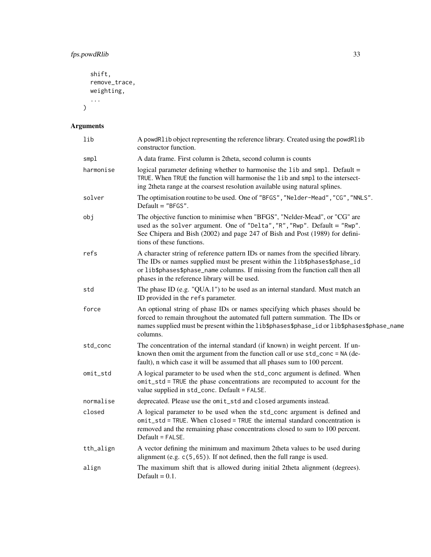# fps.powdRlib 33

```
shift,
  remove_trace,
  weighting,
  ...
\overline{)}
```
# Arguments

| lib       | A powdRlib object representing the reference library. Created using the powdRlib<br>constructor function.                                                                                                                                                                                         |
|-----------|---------------------------------------------------------------------------------------------------------------------------------------------------------------------------------------------------------------------------------------------------------------------------------------------------|
| smpl      | A data frame. First column is 2theta, second column is counts                                                                                                                                                                                                                                     |
| harmonise | logical parameter defining whether to harmonise the lib and smpl. Default =<br>TRUE. When TRUE the function will harmonise the lib and smpl to the intersect-<br>ing 2theta range at the coarsest resolution available using natural splines.                                                     |
| solver    | The optimisation routine to be used. One of "BFGS", "Nelder-Mead", "CG", "NNLS".<br>Default $=$ "BFGS".                                                                                                                                                                                           |
| obj       | The objective function to minimise when "BFGS", "Nelder-Mead", or "CG" are<br>used as the solver argument. One of "Delta", "R", "Rwp". Default = "Rwp".<br>See Chipera and Bish (2002) and page 247 of Bish and Post (1989) for defini-<br>tions of these functions.                              |
| refs      | A character string of reference pattern IDs or names from the specified library.<br>The IDs or names supplied must be present within the lib\$phases\$phase_id<br>or lib\$phases\$phase_name columns. If missing from the function call then all<br>phases in the reference library will be used. |
| std       | The phase ID (e.g. "QUA.1") to be used as an internal standard. Must match an<br>ID provided in the refs parameter.                                                                                                                                                                               |
| force     | An optional string of phase IDs or names specifying which phases should be<br>forced to remain throughout the automated full pattern summation. The IDs or<br>names supplied must be present within the lib\$phases\$phase_id or lib\$phases\$phase_name<br>columns.                              |
| std_conc  | The concentration of the internal standard (if known) in weight percent. If un-<br>known then omit the argument from the function call or use std_conc = NA (de-<br>fault), n which case it will be assumed that all phases sum to 100 percent.                                                   |
| omit_std  | A logical parameter to be used when the std_conc argument is defined. When<br>omit_std = TRUE the phase concentrations are recomputed to account for the<br>value supplied in std_conc. Default = FALSE.                                                                                          |
| normalise | deprecated. Please use the omit_std and closed arguments instead.                                                                                                                                                                                                                                 |
| closed    | A logical parameter to be used when the std_conc argument is defined and<br>omit_std = TRUE. When closed = TRUE the internal standard concentration is<br>removed and the remaining phase concentrations closed to sum to 100 percent.<br>Default = FALSE.                                        |
| tth_align | A vector defining the minimum and maximum 2theta values to be used during<br>alignment (e.g. $c(5, 65)$ ). If not defined, then the full range is used.                                                                                                                                           |
| align     | The maximum shift that is allowed during initial 2theta alignment (degrees).<br>Default = $0.1$ .                                                                                                                                                                                                 |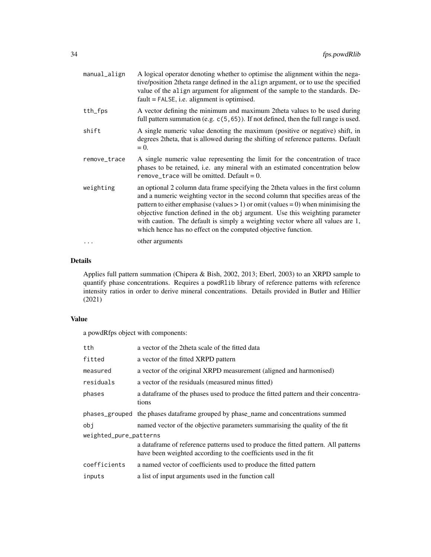| manual_align | A logical operator denoting whether to optimise the alignment within the nega-<br>tive/position 2theta range defined in the align argument, or to use the specified<br>value of the align argument for alignment of the sample to the standards. De-<br>$fault = FALSE, i.e. alignment is optimised.$                                                                                                                                                                                          |
|--------------|------------------------------------------------------------------------------------------------------------------------------------------------------------------------------------------------------------------------------------------------------------------------------------------------------------------------------------------------------------------------------------------------------------------------------------------------------------------------------------------------|
| tth_fps      | A vector defining the minimum and maximum 2theta values to be used during<br>full pattern summation (e.g. $c(5, 65)$ ). If not defined, then the full range is used.                                                                                                                                                                                                                                                                                                                           |
| shift        | A single numeric value denoting the maximum (positive or negative) shift, in<br>degrees 2theta, that is allowed during the shifting of reference patterns. Default<br>$= 0.$                                                                                                                                                                                                                                                                                                                   |
| remove_trace | A single numeric value representing the limit for the concentration of trace<br>phases to be retained, i.e. any mineral with an estimated concentration below<br>remove_trace will be omitted. Default = $0$ .                                                                                                                                                                                                                                                                                 |
| weighting    | an optional 2 column data frame specifying the 2theta values in the first column<br>and a numeric weighting vector in the second column that specifies areas of the<br>pattern to either emphasise (values $> 1$ ) or omit (values = 0) when minimising the<br>objective function defined in the obj argument. Use this weighting parameter<br>with caution. The default is simply a weighting vector where all values are 1,<br>which hence has no effect on the computed objective function. |
| $\cdots$     | other arguments                                                                                                                                                                                                                                                                                                                                                                                                                                                                                |

# Details

Applies full pattern summation (Chipera & Bish, 2002, 2013; Eberl, 2003) to an XRPD sample to quantify phase concentrations. Requires a powdRlib library of reference patterns with reference intensity ratios in order to derive mineral concentrations. Details provided in Butler and Hillier (2021)

# Value

a powdRfps object with components:

| tth                    | a vector of the 2theta scale of the fitted data                                                                                                         |
|------------------------|---------------------------------------------------------------------------------------------------------------------------------------------------------|
| fitted                 | a vector of the fitted XRPD pattern                                                                                                                     |
| measured               | a vector of the original XRPD measurement (aligned and harmonised)                                                                                      |
| residuals              | a vector of the residuals (measured minus fitted)                                                                                                       |
| phases                 | a data frame of the phases used to produce the fitted pattern and their concentra-<br>tions                                                             |
|                        | phases_grouped the phases dataframe grouped by phase_name and concentrations summed                                                                     |
| obi                    | named vector of the objective parameters summarising the quality of the fit                                                                             |
| weighted_pure_patterns |                                                                                                                                                         |
|                        | a data frame of reference patterns used to produce the fitted pattern. All patterns<br>have been weighted according to the coefficients used in the fit |
| coefficients           | a named vector of coefficients used to produce the fitted pattern                                                                                       |
| inputs                 | a list of input arguments used in the function call                                                                                                     |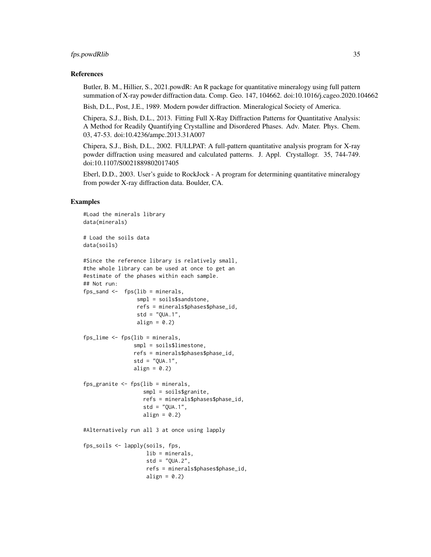#### fps.powdRlib 35

#### References

Butler, B. M., Hillier, S., 2021.powdR: An R package for quantitative mineralogy using full pattern summation of X-ray powder diffraction data. Comp. Geo. 147, 104662. doi:10.1016/j.cageo.2020.104662

Bish, D.L., Post, J.E., 1989. Modern powder diffraction. Mineralogical Society of America.

Chipera, S.J., Bish, D.L., 2013. Fitting Full X-Ray Diffraction Patterns for Quantitative Analysis: A Method for Readily Quantifying Crystalline and Disordered Phases. Adv. Mater. Phys. Chem. 03, 47-53. doi:10.4236/ampc.2013.31A007

Chipera, S.J., Bish, D.L., 2002. FULLPAT: A full-pattern quantitative analysis program for X-ray powder diffraction using measured and calculated patterns. J. Appl. Crystallogr. 35, 744-749. doi:10.1107/S0021889802017405

Eberl, D.D., 2003. User's guide to RockJock - A program for determining quantitative mineralogy from powder X-ray diffraction data. Boulder, CA.

## Examples

```
#Load the minerals library
data(minerals)
# Load the soils data
data(soils)
#Since the reference library is relatively small,
#the whole library can be used at once to get an
#estimate of the phases within each sample.
## Not run:
fps_sand \leq fps(lib = minerals,
                 smpl = soils$sandstone,
                 refs = minerals$phases$phase_id,
                 std = "QUA.1",align = 0.2)
fps_lime \leq fps(lib = minerals,
                smpl = soils$limestone,
                refs = minerals$phases$phase_id,
                std = "QUA.1",align = 0.2)
fps_granite <- fps(lib = minerals,
                   smpl = soils$granite,
                   refs = minerals$phases$phase_id,
                   std = "QUA.1",align = 0.2)
#Alternatively run all 3 at once using lapply
fps_soils <- lapply(soils, fps,
                    lib = minerals,
                    std = "QUA.2",refs = minerals$phases$phase_id,
                    align = 0.2)
```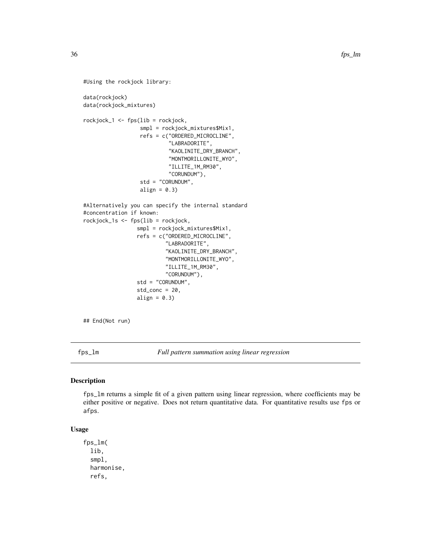```
#Using the rockjock library:
data(rockjock)
data(rockjock_mixtures)
rockjock_1 <- fps(lib = rockjock,
                  smpl = rockjock_mixtures$Mix1,
                  refs = c("ORDERED_MICROCLINE",
                           "LABRADORITE",
                           "KAOLINITE_DRY_BRANCH",
                           "MONTMORILLONITE_WYO",
                           "ILLITE_1M_RM30",
                           "CORUNDUM"),
                  std = "CORUNDUM",
                  align = 0.3)
#Alternatively you can specify the internal standard
#concentration if known:
rockjock_1s <- fps(lib = rockjock,
                 smpl = rockjock_mixtures$Mix1,
                 refs = c("ORDERED_MICROCLINE",
                          "LABRADORITE",
                          "KAOLINITE_DRY_BRANCH",
                          "MONTMORILLONITE_WYO",
                          "ILLITE_1M_RM30",
                          "CORUNDUM"),
                 std = "CORUNDUM",
                 std_conc = 20,
                 align = 0.3)
```
## End(Not run)

fps\_lm *Full pattern summation using linear regression*

#### Description

fps\_lm returns a simple fit of a given pattern using linear regression, where coefficients may be either positive or negative. Does not return quantitative data. For quantitative results use fps or afps.

# Usage

```
fps_lm(
  lib,
  smpl,
  harmonise,
  refs,
```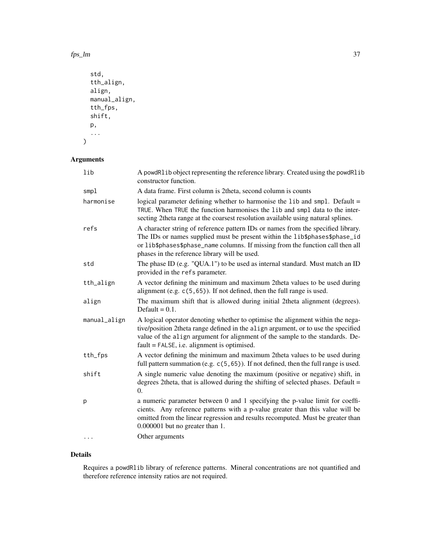fps\_lm 37

```
std,
tth_align,
align,
manual_align,
tth_fps,
shift,
p,
...
```
# Arguments

)

| lib          | A powdRlib object representing the reference library. Created using the powdRlib<br>constructor function.                                                                                                                                                                                             |
|--------------|-------------------------------------------------------------------------------------------------------------------------------------------------------------------------------------------------------------------------------------------------------------------------------------------------------|
| smpl         | A data frame. First column is 2theta, second column is counts                                                                                                                                                                                                                                         |
| harmonise    | logical parameter defining whether to harmonise the lib and smpl. Default =<br>TRUE. When TRUE the function harmonises the lib and smpl data to the inter-<br>secting 2theta range at the coarsest resolution available using natural splines.                                                        |
| refs         | A character string of reference pattern IDs or names from the specified library.<br>The IDs or names supplied must be present within the lib\$phases\$phase_id<br>or lib\$phases\$phase_name columns. If missing from the function call then all<br>phases in the reference library will be used.     |
| std          | The phase ID (e.g. "QUA.1") to be used as internal standard. Must match an ID<br>provided in the refs parameter.                                                                                                                                                                                      |
| tth_align    | A vector defining the minimum and maximum 2theta values to be used during<br>alignment (e.g. $c(5, 65)$ ). If not defined, then the full range is used.                                                                                                                                               |
| align        | The maximum shift that is allowed during initial 2theta alignment (degrees).<br>Default = $0.1$ .                                                                                                                                                                                                     |
| manual_align | A logical operator denoting whether to optimise the alignment within the nega-<br>tive/position 2theta range defined in the align argument, or to use the specified<br>value of the align argument for alignment of the sample to the standards. De-<br>$fault = FALSE, i.e. alignment is optimised.$ |
| tth_fps      | A vector defining the minimum and maximum 2theta values to be used during<br>full pattern summation (e.g. $c(5, 65)$ ). If not defined, then the full range is used.                                                                                                                                  |
| shift        | A single numeric value denoting the maximum (positive or negative) shift, in<br>degrees 2theta, that is allowed during the shifting of selected phases. Default =<br>$\Omega$ .                                                                                                                       |
| p            | a numeric parameter between 0 and 1 specifying the p-value limit for coeffi-<br>cients. Any reference patterns with a p-value greater than this value will be<br>omitted from the linear regression and results recomputed. Must be greater than<br>0.000001 but no greater than 1.                   |
| .            | Other arguments                                                                                                                                                                                                                                                                                       |

# Details

Requires a powdRlib library of reference patterns. Mineral concentrations are not quantified and therefore reference intensity ratios are not required.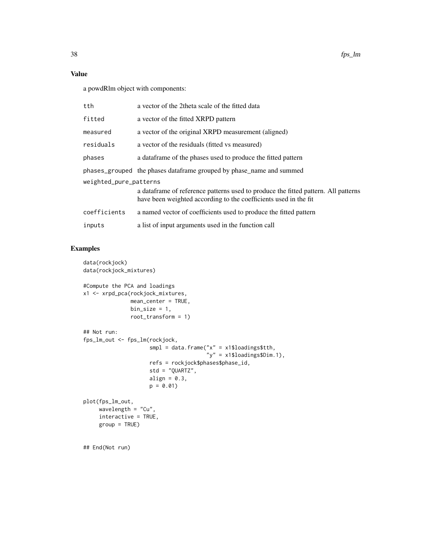# Value

a powdRlm object with components:

| tth                    | a vector of the 2theta scale of the fitted data                                                                                                         |  |
|------------------------|---------------------------------------------------------------------------------------------------------------------------------------------------------|--|
| fitted                 | a vector of the fitted XRPD pattern                                                                                                                     |  |
| measured               | a vector of the original XRPD measurement (aligned)                                                                                                     |  |
| residuals              | a vector of the residuals (fitted vs measured)                                                                                                          |  |
| phases                 | a data frame of the phases used to produce the fitted pattern                                                                                           |  |
|                        | phases_grouped the phases dataframe grouped by phase_name and summed                                                                                    |  |
| weighted_pure_patterns |                                                                                                                                                         |  |
|                        | a data frame of reference patterns used to produce the fitted pattern. All patterns<br>have been weighted according to the coefficients used in the fit |  |
| coefficients           | a named vector of coefficients used to produce the fitted pattern                                                                                       |  |
| inputs                 | a list of input arguments used in the function call                                                                                                     |  |

# Examples

```
data(rockjock)
data(rockjock_mixtures)
#Compute the PCA and loadings
x1 <- xrpd_pca(rockjock_mixtures,
              mean_center = TRUE,
              bin\_size = 1,
              root_transform = 1)
## Not run:
fps_lm_out <- fps_lm(rockjock,
                     smpl = data.frame("x" = x1$loadings$tth,
                                       y'' = x1$loadings$Dim.1),
                     refs = rockjock$phases$phase_id,
                     std = "QUARTZ",
                     align = 0.3,
                    p = 0.01plot(fps_lm_out,
    wavelength = "Cu",
     interactive = TRUE,
     group = TRUE)
## End(Not run)
```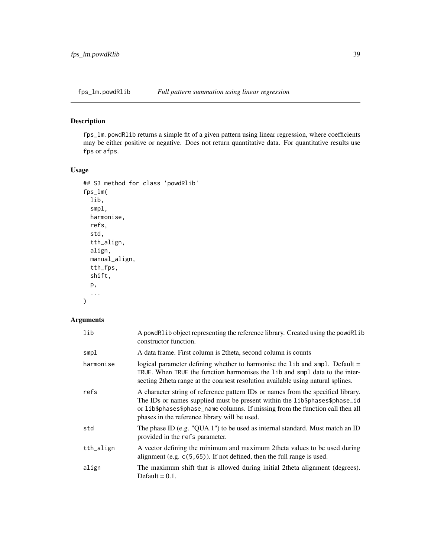## Description

fps\_lm.powdRlib returns a simple fit of a given pattern using linear regression, where coefficients may be either positive or negative. Does not return quantitative data. For quantitative results use fps or afps.

# Usage

```
## S3 method for class 'powdRlib'
fps_lm(
  lib,
  smpl,
 harmonise,
 refs,
  std,
  tth_align,
  align,
 manual_align,
  tth_fps,
  shift,
 p,
  ...
)
```

| lib       | A powdRlib object representing the reference library. Created using the powdRlib<br>constructor function.                                                                                                                                                                                         |
|-----------|---------------------------------------------------------------------------------------------------------------------------------------------------------------------------------------------------------------------------------------------------------------------------------------------------|
| smpl      | A data frame. First column is 2 theta, second column is counts                                                                                                                                                                                                                                    |
| harmonise | logical parameter defining whether to harmonise the lib and smpl. Default =<br>TRUE. When TRUE the function harmonises the 1 ib and smp1 data to the inter-<br>secting 2 theta range at the coarsest resolution available using natural splines.                                                  |
| refs      | A character string of reference pattern IDs or names from the specified library.<br>The IDs or names supplied must be present within the lib\$phases\$phase_id<br>or lib\$phases\$phase_name columns. If missing from the function call then all<br>phases in the reference library will be used. |
| std       | The phase ID (e.g. "QUA.1") to be used as internal standard. Must match an ID<br>provided in the refs parameter.                                                                                                                                                                                  |
| tth_align | A vector defining the minimum and maximum 2theta values to be used during<br>alignment (e.g. $c(5, 65)$ ). If not defined, then the full range is used.                                                                                                                                           |
| align     | The maximum shift that is allowed during initial 2theta alignment (degrees).<br>Default $= 0.1$ .                                                                                                                                                                                                 |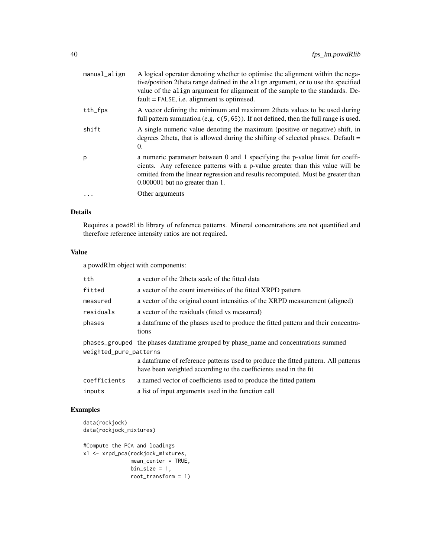| manual_align | A logical operator denoting whether to optimise the alignment within the nega-<br>tive/position 2 theta range defined in the align argument, or to use the specified<br>value of the align argument for alignment of the sample to the standards. De-<br>$fault = FALSE, i.e. alignment is optimised.$ |
|--------------|--------------------------------------------------------------------------------------------------------------------------------------------------------------------------------------------------------------------------------------------------------------------------------------------------------|
| tth_fps      | A vector defining the minimum and maximum 2theta values to be used during<br>full pattern summation (e.g. $c(5, 65)$ ). If not defined, then the full range is used.                                                                                                                                   |
| shift        | A single numeric value denoting the maximum (positive or negative) shift, in<br>degrees 2theta, that is allowed during the shifting of selected phases. Default $=$<br>0.                                                                                                                              |
| p            | a numeric parameter between 0 and 1 specifying the p-value limit for coeffi-<br>cients. Any reference patterns with a p-value greater than this value will be<br>omitted from the linear regression and results recomputed. Must be greater than<br>$0.000001$ but no greater than 1.                  |
|              | Other arguments                                                                                                                                                                                                                                                                                        |

## Details

Requires a powdRlib library of reference patterns. Mineral concentrations are not quantified and therefore reference intensity ratios are not required.

## Value

a powdRlm object with components:

| tth                                                                                                            | a vector of the 2theta scale of the fitted data                                                                                                         |
|----------------------------------------------------------------------------------------------------------------|---------------------------------------------------------------------------------------------------------------------------------------------------------|
| fitted                                                                                                         | a vector of the count intensities of the fitted XRPD pattern                                                                                            |
| measured                                                                                                       | a vector of the original count intensities of the XRPD measurement (aligned)                                                                            |
| residuals                                                                                                      | a vector of the residuals (fitted vs measured)                                                                                                          |
| phases                                                                                                         | a data frame of the phases used to produce the fitted pattern and their concentra-<br>tions                                                             |
| phases_grouped the phases data frame grouped by phase_name and concentrations summed<br>weighted_pure_patterns |                                                                                                                                                         |
|                                                                                                                | a data frame of reference patterns used to produce the fitted pattern. All patterns<br>have been weighted according to the coefficients used in the fit |
| coefficients                                                                                                   | a named vector of coefficients used to produce the fitted pattern                                                                                       |
| inputs                                                                                                         | a list of input arguments used in the function call                                                                                                     |

# Examples

```
data(rockjock)
data(rockjock_mixtures)
#Compute the PCA and loadings
x1 <- xrpd_pca(rockjock_mixtures,
              mean_center = TRUE,
              bin\_size = 1,
              root_transform = 1)
```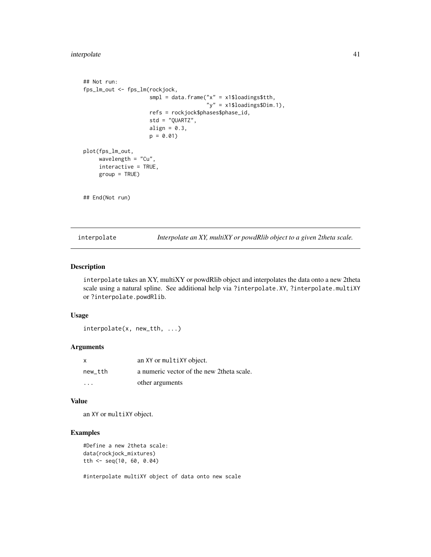## interpolate 41

```
## Not run:
fps_lm_out <- fps_lm(rockjock,
                     smpl = data.frame("x" = x1$loadings$tth,"y" = x1$loadings$Dim.1),
                     refs = rockjock$phases$phase_id,
                     std = "QUARTZ",
                     align = 0.3,
                     p = 0.01plot(fps_lm_out,
     wavelength = "Cu",
     interactive = TRUE,
     group = TRUE)
## End(Not run)
```
interpolate *Interpolate an XY, multiXY or powdRlib object to a given 2theta scale.*

## Description

interpolate takes an XY, multiXY or powdRlib object and interpolates the data onto a new 2theta scale using a natural spline. See additional help via ?interpolate.XY, ?interpolate.multiXY or ?interpolate.powdRlib.

#### Usage

interpolate(x, new\_tth, ...)

#### Arguments

| X       | an XY or multiXY object.                   |
|---------|--------------------------------------------|
| new tth | a numeric vector of the new 2 theta scale. |
| $\cdot$ | other arguments                            |

#### Value

an XY or multiXY object.

## Examples

```
#Define a new 2theta scale:
data(rockjock_mixtures)
tth <- seq(10, 60, 0.04)
```
#interpolate multiXY object of data onto new scale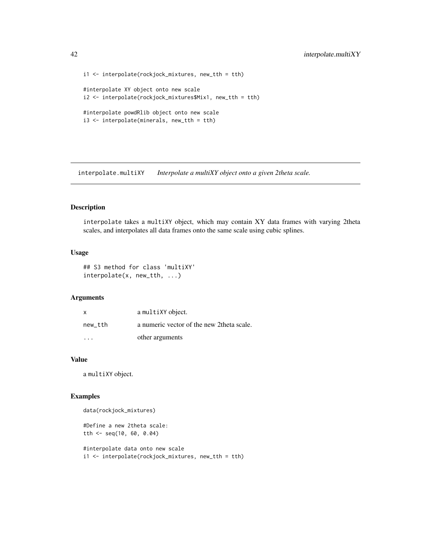```
i1 <- interpolate(rockjock_mixtures, new_tth = tth)
#interpolate XY object onto new scale
i2 <- interpolate(rockjock_mixtures$Mix1, new_tth = tth)
#interpolate powdRlib object onto new scale
i3 <- interpolate(minerals, new_tth = tth)
```
interpolate.multiXY *Interpolate a multiXY object onto a given 2theta scale.*

#### Description

interpolate takes a multiXY object, which may contain XY data frames with varying 2theta scales, and interpolates all data frames onto the same scale using cubic splines.

#### Usage

```
## S3 method for class 'multiXY'
interpolate(x, new_tth, ...)
```
## Arguments

| x                       | a multiXY object.                          |
|-------------------------|--------------------------------------------|
| new tth                 | a numeric vector of the new 2 theta scale. |
| $\cdot$ $\cdot$ $\cdot$ | other arguments                            |

## Value

a multiXY object.

#### Examples

data(rockjock\_mixtures)

```
#Define a new 2theta scale:
tth <- seq(10, 60, 0.04)
```

```
#interpolate data onto new scale
i1 <- interpolate(rockjock_mixtures, new_tth = tth)
```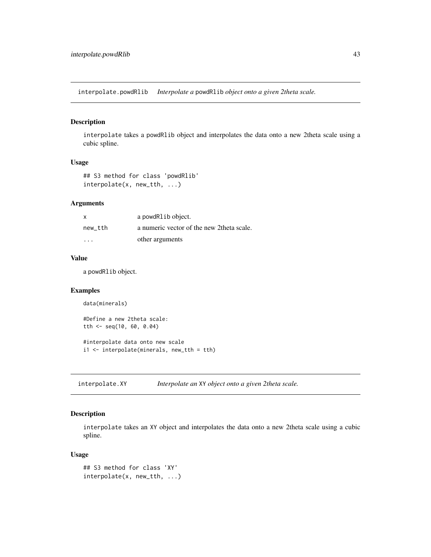interpolate.powdRlib *Interpolate a* powdRlib *object onto a given 2theta scale.*

#### Description

interpolate takes a powdRlib object and interpolates the data onto a new 2theta scale using a cubic spline.

## Usage

```
## S3 method for class 'powdRlib'
interpolate(x, new_tth, ...)
```
#### Arguments

| X                       | a powdRlib object.                         |
|-------------------------|--------------------------------------------|
| new tth                 | a numeric vector of the new 2 theta scale. |
| $\cdot$ $\cdot$ $\cdot$ | other arguments                            |

#### Value

a powdRlib object.

## Examples

```
data(minerals)
```

```
#Define a new 2theta scale:
tth <- seq(10, 60, 0.04)
#interpolate data onto new scale
```
i1 <- interpolate(minerals, new\_tth = tth)

interpolate.XY *Interpolate an* XY *object onto a given 2theta scale.*

# Description

interpolate takes an XY object and interpolates the data onto a new 2theta scale using a cubic spline.

#### Usage

```
## S3 method for class 'XY'
interpolate(x, new_tth, ...)
```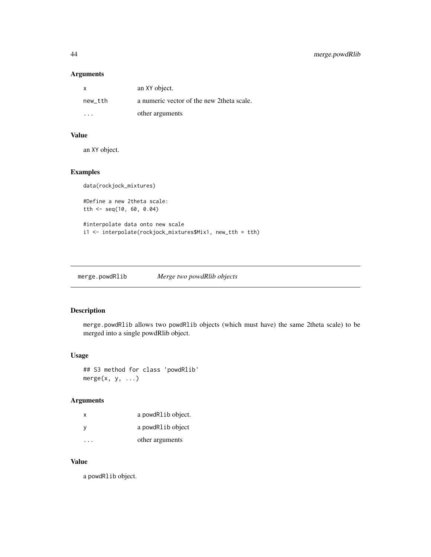## Arguments

| x       | an XY object.                              |
|---------|--------------------------------------------|
| new_tth | a numeric vector of the new 2 theta scale. |
| .       | other arguments                            |

# Value

an XY object.

## Examples

```
data(rockjock_mixtures)
#Define a new 2theta scale:
tth <- seq(10, 60, 0.04)
#interpolate data onto new scale
i1 <- interpolate(rockjock_mixtures$Mix1, new_tth = tth)
```
merge.powdRlib *Merge two powdRlib objects*

#### Description

merge.powdRlib allows two powdRlib objects (which must have) the same 2theta scale) to be merged into a single powdRlib object.

## Usage

## S3 method for class 'powdRlib'  $merge(x, y, ...)$ 

## Arguments

| x | a powdRlib object. |
|---|--------------------|
| у | a powdRlib object  |
|   | other arguments    |

#### Value

a powdRlib object.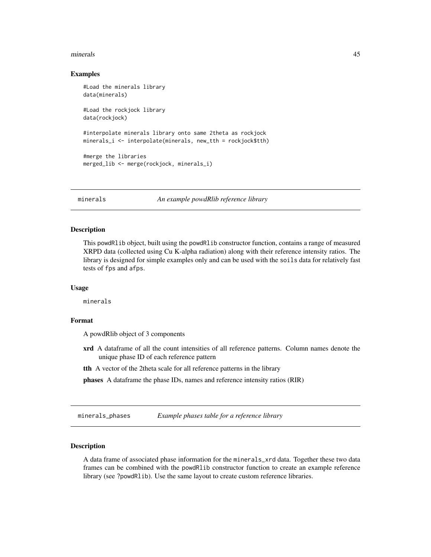#### minerals and the contract of the contract of the contract of the contract of the contract of the contract of the contract of the contract of the contract of the contract of the contract of the contract of the contract of t

#### Examples

```
#Load the minerals library
data(minerals)
#Load the rockjock library
data(rockjock)
#interpolate minerals library onto same 2theta as rockjock
minerals_i <- interpolate(minerals, new_tth = rockjock$tth)
#merge the libraries
merged_lib <- merge(rockjock, minerals_i)
```
minerals *An example powdRlib reference library*

#### **Description**

This powdRlib object, built using the powdRlib constructor function, contains a range of measured XRPD data (collected using Cu K-alpha radiation) along with their reference intensity ratios. The library is designed for simple examples only and can be used with the soils data for relatively fast tests of fps and afps.

#### Usage

minerals

#### Format

A powdRlib object of 3 components

- xrd A dataframe of all the count intensities of all reference patterns. Column names denote the unique phase ID of each reference pattern
- tth A vector of the 2theta scale for all reference patterns in the library

phases A dataframe the phase IDs, names and reference intensity ratios (RIR)

minerals\_phases *Example phases table for a reference library*

#### Description

A data frame of associated phase information for the minerals\_xrd data. Together these two data frames can be combined with the powdRlib constructor function to create an example reference library (see ?powdRlib). Use the same layout to create custom reference libraries.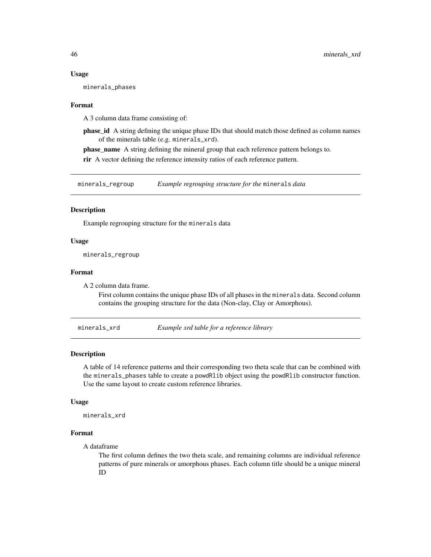#### Usage

minerals\_phases

#### Format

A 3 column data frame consisting of:

phase\_id A string defining the unique phase IDs that should match those defined as column names of the minerals table (e.g. minerals\_xrd).

phase\_name A string defining the mineral group that each reference pattern belongs to.

rir A vector defining the reference intensity ratios of each reference pattern.

minerals\_regroup *Example regrouping structure for the* minerals *data*

#### Description

Example regrouping structure for the minerals data

#### Usage

minerals\_regroup

#### Format

A 2 column data frame.

First column contains the unique phase IDs of all phases in the minerals data. Second column contains the grouping structure for the data (Non-clay, Clay or Amorphous).

minerals\_xrd *Example xrd table for a reference library*

#### Description

A table of 14 reference patterns and their corresponding two theta scale that can be combined with the minerals\_phases table to create a powdRlib object using the powdRlib constructor function. Use the same layout to create custom reference libraries.

#### Usage

minerals\_xrd

#### Format

A dataframe

The first column defines the two theta scale, and remaining columns are individual reference patterns of pure minerals or amorphous phases. Each column title should be a unique mineral ID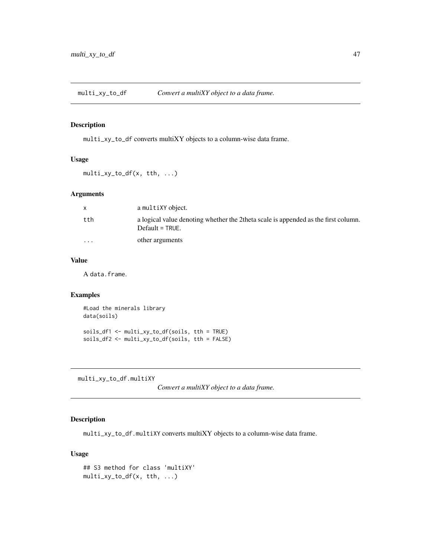#### Description

multi\_xy\_to\_df converts multiXY objects to a column-wise data frame.

#### Usage

```
multi_xy_to_df(x, tth, ...)
```
#### Arguments

|          | a multiXY object.                                                                                       |
|----------|---------------------------------------------------------------------------------------------------------|
| tth      | a logical value denoting whether the 2theta scale is appended as the first column.<br>$Default = TRUE.$ |
| $\cdots$ | other arguments                                                                                         |

## Value

A data.frame.

# Examples

#Load the minerals library data(soils) soils\_df1 <- multi\_xy\_to\_df(soils, tth = TRUE) soils\_df2 <- multi\_xy\_to\_df(soils, tth = FALSE)

multi\_xy\_to\_df.multiXY

*Convert a multiXY object to a data frame.*

## Description

multi\_xy\_to\_df.multiXY converts multiXY objects to a column-wise data frame.

## Usage

```
## S3 method for class 'multiXY'
multi_xy_to_df(x, tth, ...)
```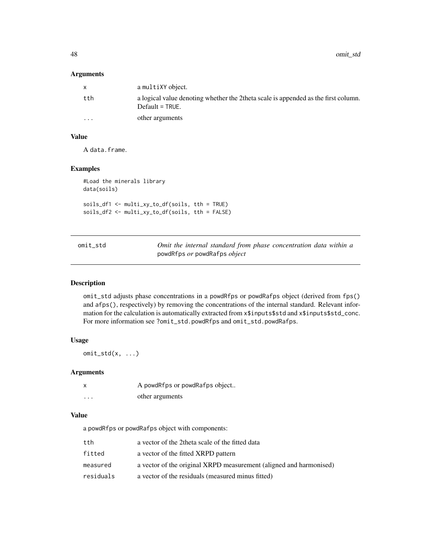48 omit\_std

#### Arguments

| X        | a multiXY object.                                                                                        |
|----------|----------------------------------------------------------------------------------------------------------|
| tth      | a logical value denoting whether the 2theta scale is appended as the first column.<br>$Default = TRUE$ . |
| $\cdots$ | other arguments                                                                                          |

# Value

A data.frame.

## Examples

```
#Load the minerals library
data(soils)
soils_df1 <- multi_xy_to_df(soils, tth = TRUE)
soils_df2 <- multi_xy_to_df(soils, tth = FALSE)
```

| omit std | Omit the internal standard from phase concentration data within a |
|----------|-------------------------------------------------------------------|
|          | powdRfps $or$ powdRafps $object$                                  |

## Description

omit\_std adjusts phase concentrations in a powdRfps or powdRafps object (derived from fps() and afps(), respectively) by removing the concentrations of the internal standard. Relevant information for the calculation is automatically extracted from x\$inputs\$std and x\$inputs\$std\_conc. For more information see ?omit\_std.powdRfps and omit\_std.powdRafps.

# Usage

 $omit\_std(x, \ldots)$ 

#### Arguments

| X | A powdRfps or powdRafps object |
|---|--------------------------------|
| . | other arguments                |

#### Value

a powdRfps or powdRafps object with components:

| tth       | a vector of the 2theta scale of the fitted data                    |
|-----------|--------------------------------------------------------------------|
| fitted    | a vector of the fitted XRPD pattern                                |
| measured  | a vector of the original XRPD measurement (aligned and harmonised) |
| residuals | a vector of the residuals (measured minus fitted)                  |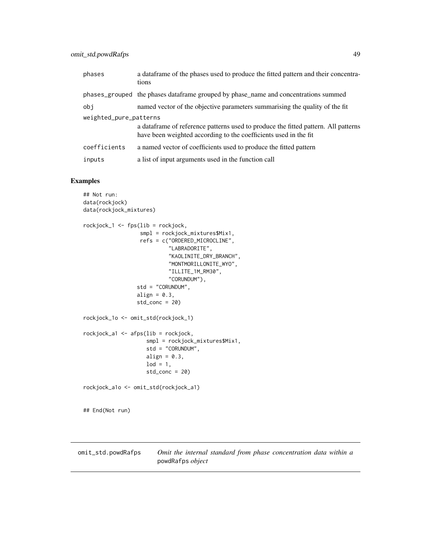## omit\_std.powdRafps 49

| phases                 | a data frame of the phases used to produce the fitted pattern and their concentra-<br>tions                                                             |
|------------------------|---------------------------------------------------------------------------------------------------------------------------------------------------------|
|                        | phases_grouped the phases dataframe grouped by phase_name and concentrations summed                                                                     |
| obi                    | named vector of the objective parameters summarising the quality of the fit                                                                             |
| weighted_pure_patterns | a data frame of reference patterns used to produce the fitted pattern. All patterns<br>have been weighted according to the coefficients used in the fit |
| coefficients           | a named vector of coefficients used to produce the fitted pattern                                                                                       |
| inputs                 | a list of input arguments used in the function call                                                                                                     |

## Examples

```
## Not run:
data(rockjock)
data(rockjock_mixtures)
rockjock_1 <- fps(lib = rockjock,
                  smpl = rockjock_mixtures$Mix1,
                  refs = c("ORDERED_MICROCLINE",
                            "LABRADORITE",
                            "KAOLINITE_DRY_BRANCH",
                            "MONTMORILLONITE_WYO",
                            "ILLITE_1M_RM30",
                            "CORUNDUM"),
                 std = "CORUNDUM",
                 align = 0.3,
                 std\_conc = 20rockjock_1o <- omit_std(rockjock_1)
rockjock_a1 <- afps(lib = rockjock,
                    smpl = rockjock_mixtures$Mix1,
                    std = "CORUNDUM",
                    align = 0.3,
                    \text{lod} = 1,
                    std\_conc = 20rockjock_a1o <- omit_std(rockjock_a1)
## End(Not run)
```
omit\_std.powdRafps *Omit the internal standard from phase concentration data within a* powdRafps *object*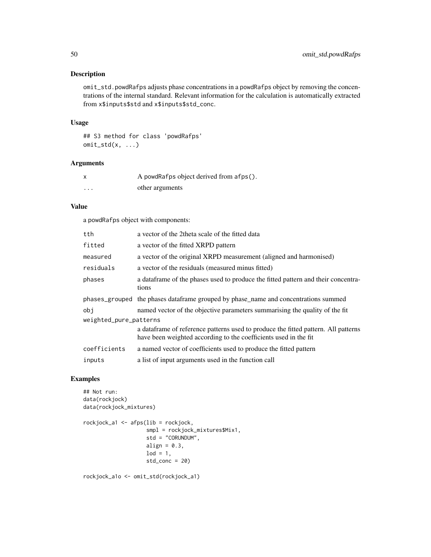#### Description

omit\_std.powdRafps adjusts phase concentrations in a powdRafps object by removing the concentrations of the internal standard. Relevant information for the calculation is automatically extracted from x\$inputs\$std and x\$inputs\$std\_conc.

#### Usage

## S3 method for class 'powdRafps'  $omit\_std(x, \ldots)$ 

#### Arguments

|                      | A powdRafps object derived from afps(). |
|----------------------|-----------------------------------------|
| $\ddot{\phantom{0}}$ | other arguments                         |

#### Value

a powdRafps object with components:

| tth.                   | a vector of the 2theta scale of the fitted data                                                                                                         |  |
|------------------------|---------------------------------------------------------------------------------------------------------------------------------------------------------|--|
| fitted                 | a vector of the fitted XRPD pattern                                                                                                                     |  |
| measured               | a vector of the original XRPD measurement (aligned and harmonised)                                                                                      |  |
| residuals              | a vector of the residuals (measured minus fitted)                                                                                                       |  |
| phases                 | a data frame of the phases used to produce the fitted pattern and their concentra-<br>tions                                                             |  |
|                        | phases_grouped the phases dataframe grouped by phase_name and concentrations summed                                                                     |  |
| obi                    | named vector of the objective parameters summarising the quality of the fit                                                                             |  |
| weighted_pure_patterns |                                                                                                                                                         |  |
|                        | a data frame of reference patterns used to produce the fitted pattern. All patterns<br>have been weighted according to the coefficients used in the fit |  |
| coefficients           | a named vector of coefficients used to produce the fitted pattern                                                                                       |  |
| inputs                 | a list of input arguments used in the function call                                                                                                     |  |

## Examples

```
## Not run:
data(rockjock)
data(rockjock_mixtures)
rockjock_a1 <- afps(lib = rockjock,
                     smpl = rockjock_mixtures$Mix1,
                     std = "CORUNDUM",
                     align = 0.3,
                     \text{lod} = 1,
                     std_conc = 20)
```
rockjock\_a1o <- omit\_std(rockjock\_a1)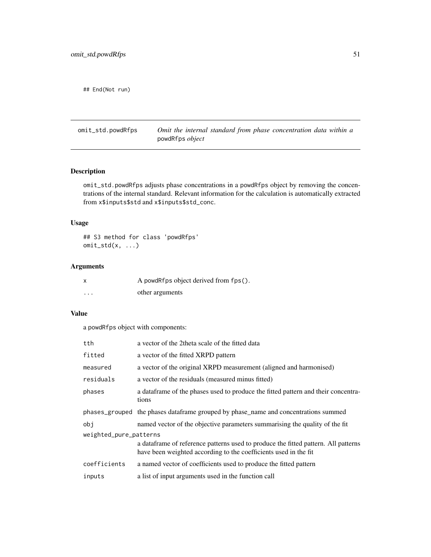## End(Not run)

omit\_std.powdRfps *Omit the internal standard from phase concentration data within a* powdRfps *object*

# Description

omit\_std.powdRfps adjusts phase concentrations in a powdRfps object by removing the concentrations of the internal standard. Relevant information for the calculation is automatically extracted from x\$inputs\$std and x\$inputs\$std\_conc.

#### Usage

## S3 method for class 'powdRfps' omit\_std(x, ...)

## Arguments

| x        | A powdRfps object derived from fps(). |
|----------|---------------------------------------|
| $\cdots$ | other arguments                       |

## Value

a powdRfps object with components:

| tth                    | a vector of the 2theta scale of the fitted data                                                                                                         |
|------------------------|---------------------------------------------------------------------------------------------------------------------------------------------------------|
| fitted                 | a vector of the fitted XRPD pattern                                                                                                                     |
| measured               | a vector of the original XRPD measurement (aligned and harmonised)                                                                                      |
| residuals              | a vector of the residuals (measured minus fitted)                                                                                                       |
| phases                 | a data frame of the phases used to produce the fitted pattern and their concentra-<br>tions                                                             |
|                        | phases_grouped the phases data frame grouped by phase_name and concentrations summed                                                                    |
| obi                    | named vector of the objective parameters summarising the quality of the fit                                                                             |
| weighted_pure_patterns |                                                                                                                                                         |
|                        | a data frame of reference patterns used to produce the fitted pattern. All patterns<br>have been weighted according to the coefficients used in the fit |
| coefficients           | a named vector of coefficients used to produce the fitted pattern                                                                                       |
| inputs                 | a list of input arguments used in the function call                                                                                                     |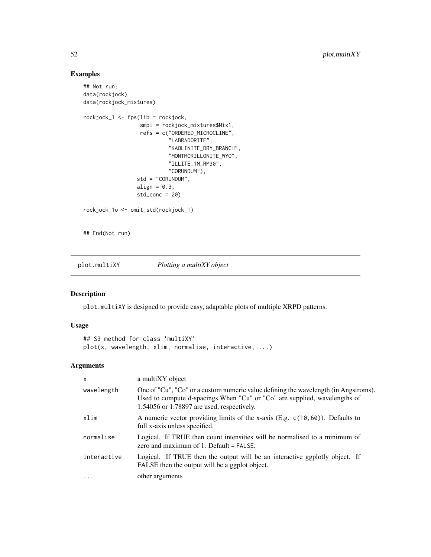## Examples

```
## Not run:
data(rockjock)
data(rockjock_mixtures)
rockjock_1 <- fps(lib = rockjock,
                  smpl = rockjock_mixtures$Mix1,
                  refs = c("ORDERED_MICROCLINE",
                           "LABRADORITE",
                           "KAOLINITE_DRY_BRANCH",
                           "MONTMORILLONITE_WYO",
                           "ILLITE_1M_RM30",
                           "CORUNDUM"),
                 std = "CORUNDUM",
                 align = 0.3,
                 std_conc = 20)
rockjock_1o <- omit_std(rockjock_1)
## End(Not run)
```
plot.multiXY *Plotting a multiXY object*

# Description

plot.multiXY is designed to provide easy, adaptable plots of multiple XRPD patterns.

# Usage

```
## S3 method for class 'multiXY'
plot(x, wavelength, xlim, normalise, interactive, ...)
```

| $\mathsf{x}$ | a multiXY object                                                                                                                                                                                                |
|--------------|-----------------------------------------------------------------------------------------------------------------------------------------------------------------------------------------------------------------|
| wavelength   | One of "Cu", "Co" or a custom numeric value defining the wavelength (in Angstroms).<br>Used to compute d-spacings. When "Cu" or "Co" are supplied, wavelengths of<br>1.54056 or 1.78897 are used, respectively. |
| xlim         | A numeric vector providing limits of the x-axis (E.g. $c(10, 60)$ ). Defaults to<br>full x-axis unless specified.                                                                                               |
| normalise    | Logical. If TRUE then count intensities will be normalised to a minimum of<br>zero and maximum of 1. Default = FALSE.                                                                                           |
| interactive  | Logical. If TRUE then the output will be an interactive ggplotly object. If<br>FALSE then the output will be a ggplot object.                                                                                   |
| $\cdots$     | other arguments                                                                                                                                                                                                 |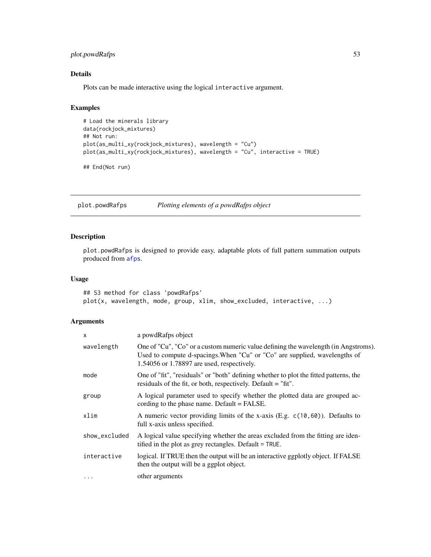## plot.powdRafps 53

# Details

Plots can be made interactive using the logical interactive argument.

## Examples

```
# Load the minerals library
data(rockjock_mixtures)
## Not run:
plot(as_multi_xy(rockjock_mixtures), wavelength = "Cu")
plot(as_multi_xy(rockjock_mixtures), wavelength = "Cu", interactive = TRUE)
```
## End(Not run)

plot.powdRafps *Plotting elements of a powdRafps object*

## Description

plot.powdRafps is designed to provide easy, adaptable plots of full pattern summation outputs produced from [afps](#page-2-0).

# Usage

## S3 method for class 'powdRafps' plot(x, wavelength, mode, group, xlim, show\_excluded, interactive, ...)

| $\times$      | a powdRafps object                                                                                                                                                                                                |
|---------------|-------------------------------------------------------------------------------------------------------------------------------------------------------------------------------------------------------------------|
| wavelength    | One of "Cu", "Co" or a custom numeric value defining the wavelength (in Angstroms).<br>Used to compute d-spacings. When "Cu" or "Co" are supplied, wavelengths of<br>$1.54056$ or 1.78897 are used, respectively. |
| mode          | One of "fit", "residuals" or "both" defining whether to plot the fitted patterns, the<br>residuals of the fit, or both, respectively. Default = "fit".                                                            |
| group         | A logical parameter used to specify whether the plotted data are grouped ac-<br>cording to the phase name. Default $=$ FALSE.                                                                                     |
| xlim          | A numeric vector providing limits of the x-axis (E.g. $c(10, 60)$ ). Defaults to<br>full x-axis unless specified.                                                                                                 |
| show_excluded | A logical value specifying whether the areas excluded from the fitting are iden-<br>tified in the plot as grey rectangles. Default = TRUE.                                                                        |
| interactive   | logical. If TRUE then the output will be an interactive ggplotly object. If FALSE<br>then the output will be a ggplot object.                                                                                     |
| $\cdots$      | other arguments                                                                                                                                                                                                   |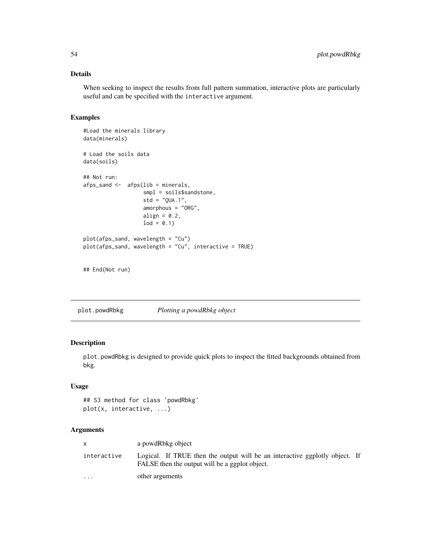## Details

When seeking to inspect the results from full pattern summation, interactive plots are particularly useful and can be specified with the interactive argument.

#### Examples

```
#Load the minerals library
data(minerals)
# Load the soils data
data(soils)
## Not run:
afps_sand <- afps(lib = minerals,
                   smpl = soils$sandstone,
                   std = "QUA.1",amorphous = "ORG",
                   align = 0.2,
                  1od = 0.1plot(afps_sand, wavelength = "Cu")
plot(afps_sand, wavelength = "Cu", interactive = TRUE)
```

```
## End(Not run)
```
plot.powdRbkg *Plotting a powdRbkg object*

# Description

plot.powdRbkg is designed to provide quick plots to inspect the fitted backgrounds obtained from bkg.

## Usage

```
## S3 method for class 'powdRbkg'
plot(x, interactive, ...)
```

|                      | a powdRbkg object                                                                                                             |  |
|----------------------|-------------------------------------------------------------------------------------------------------------------------------|--|
| interactive          | Logical. If TRUE then the output will be an interactive ggplotly object. If<br>FALSE then the output will be a ggplot object. |  |
| $\ddot{\phantom{0}}$ | other arguments                                                                                                               |  |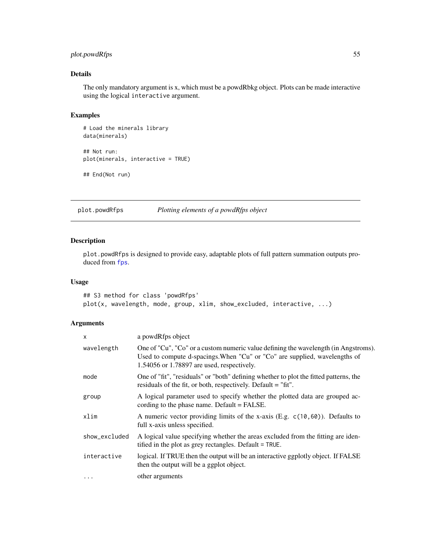## plot.powdRfps 55

# Details

The only mandatory argument is x, which must be a powdRbkg object. Plots can be made interactive using the logical interactive argument.

## Examples

```
# Load the minerals library
data(minerals)
## Not run:
plot(minerals, interactive = TRUE)
```
## End(Not run)

## plot.powdRfps *Plotting elements of a powdRfps object*

#### Description

plot.powdRfps is designed to provide easy, adaptable plots of full pattern summation outputs produced from [fps](#page-27-0).

#### Usage

## S3 method for class 'powdRfps' plot(x, wavelength, mode, group, xlim, show\_excluded, interactive, ...)

| X             | a powdRfps object                                                                                                                                                                                                 |
|---------------|-------------------------------------------------------------------------------------------------------------------------------------------------------------------------------------------------------------------|
| wavelength    | One of "Cu", "Co" or a custom numeric value defining the wavelength (in Angstroms).<br>Used to compute d-spacings. When "Cu" or "Co" are supplied, wavelengths of<br>$1.54056$ or 1.78897 are used, respectively. |
| mode          | One of "fit", "residuals" or "both" defining whether to plot the fitted patterns, the<br>residuals of the fit, or both, respectively. Default = "fit".                                                            |
| group         | A logical parameter used to specify whether the plotted data are grouped ac-<br>cording to the phase name. Default $=$ FALSE.                                                                                     |
| xlim          | A numeric vector providing limits of the x-axis (E.g. $c(10, 60)$ ). Defaults to<br>full x-axis unless specified.                                                                                                 |
| show_excluded | A logical value specifying whether the areas excluded from the fitting are iden-<br>tified in the plot as grey rectangles. Default = TRUE.                                                                        |
| interactive   | logical. If TRUE then the output will be an interactive ggplotly object. If FALSE<br>then the output will be a ggplot object.                                                                                     |
| $\cdots$      | other arguments                                                                                                                                                                                                   |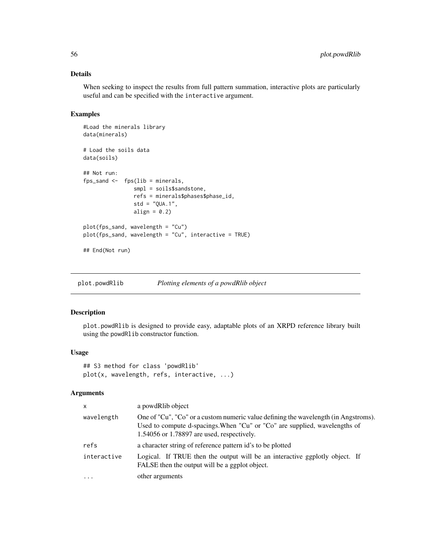## Details

When seeking to inspect the results from full pattern summation, interactive plots are particularly useful and can be specified with the interactive argument.

# Examples

```
#Load the minerals library
data(minerals)
# Load the soils data
data(soils)
## Not run:
fps\_sand \leftarrow fps(lib = minerals,smpl = soils$sandstone,
                refs = minerals$phases$phase_id,
                std = "QUA.1",align = 0.2)
plot(fps_sand, wavelength = "Cu")
plot(fps_sand, wavelength = "Cu", interactive = TRUE)
## End(Not run)
```
plot.powdRlib *Plotting elements of a powdRlib object*

# Description

plot.powdRlib is designed to provide easy, adaptable plots of an XRPD reference library built using the powdRlib constructor function.

#### Usage

```
## S3 method for class 'powdRlib'
plot(x, wavelength, refs, interactive, ...)
```

| $\mathsf{x}$ | a powdRlib object                                                                                                                                                                                               |
|--------------|-----------------------------------------------------------------------------------------------------------------------------------------------------------------------------------------------------------------|
| wavelength   | One of "Cu", "Co" or a custom numeric value defining the wavelength (in Angstroms).<br>Used to compute d-spacings. When "Cu" or "Co" are supplied, wavelengths of<br>1.54056 or 1.78897 are used, respectively. |
| refs         | a character string of reference pattern id's to be plotted                                                                                                                                                      |
| interactive  | Logical. If TRUE then the output will be an interactive ggplotly object. If<br>FALSE then the output will be a ggplot object.                                                                                   |
| $\cdots$     | other arguments                                                                                                                                                                                                 |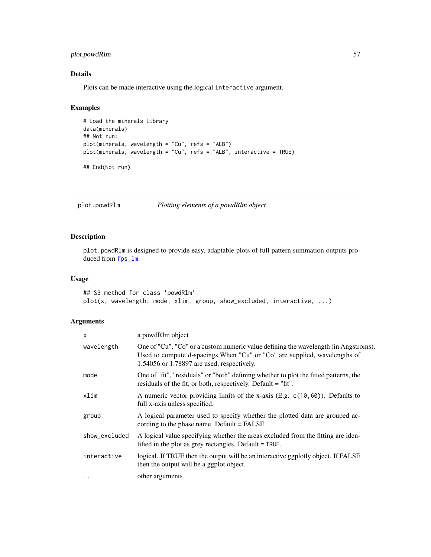## plot.powdRlm 57

# Details

Plots can be made interactive using the logical interactive argument.

## Examples

```
# Load the minerals library
data(minerals)
## Not run:
plot(minerals, wavelength = "Cu", refs = "ALB")
plot(minerals, wavelength = "Cu", refs = "ALB", interactive = TRUE)
## End(Not run)
```
plot.powdRlm *Plotting elements of a powdRlm object*

#### Description

plot.powdRlm is designed to provide easy, adaptable plots of full pattern summation outputs produced from [fps\\_lm](#page-35-0).

## Usage

## S3 method for class 'powdRlm' plot(x, wavelength, mode, xlim, group, show\_excluded, interactive, ...)

| $\mathsf{x}$  | a powdRlm object                                                                                                                                                                                                  |
|---------------|-------------------------------------------------------------------------------------------------------------------------------------------------------------------------------------------------------------------|
| wavelength    | One of "Cu", "Co" or a custom numeric value defining the wavelength (in Angstroms).<br>Used to compute d-spacings. When "Cu" or "Co" are supplied, wavelengths of<br>$1.54056$ or 1.78897 are used, respectively. |
| mode          | One of "fit", "residuals" or "both" defining whether to plot the fitted patterns, the<br>residuals of the fit, or both, respectively. Default = "fit".                                                            |
| xlim          | A numeric vector providing limits of the x-axis (E.g. $c(10, 60)$ ). Defaults to<br>full x-axis unless specified.                                                                                                 |
| group         | A logical parameter used to specify whether the plotted data are grouped ac-<br>cording to the phase name. Default $=$ FALSE.                                                                                     |
| show_excluded | A logical value specifying whether the areas excluded from the fitting are iden-<br>tified in the plot as grey rectangles. Default = TRUE.                                                                        |
| interactive   | logical. If TRUE then the output will be an interactive ggplotly object. If FALSE<br>then the output will be a ggplot object.                                                                                     |
| $\cdots$      | other arguments                                                                                                                                                                                                   |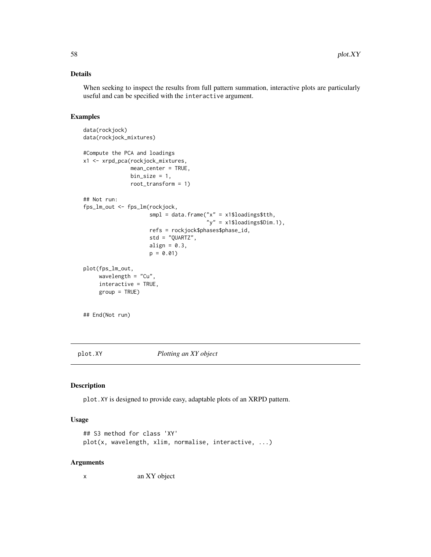#### Details

When seeking to inspect the results from full pattern summation, interactive plots are particularly useful and can be specified with the interactive argument.

## Examples

```
data(rockjock)
data(rockjock_mixtures)
#Compute the PCA and loadings
x1 <- xrpd_pca(rockjock_mixtures,
              mean_center = TRUE,
               bin\_size = 1,
               root_transform = 1)
## Not run:
fps_lm_out <- fps_lm(rockjock,
                     smpl = data.frame("x" = x1$loadings$tth,"y'' = x1$loadings$Dim.1),
                     refs = rockjock$phases$phase_id,
                     std = "QUARTZ",
                     align = 0.3,
                     p = 0.01plot(fps_lm_out,
    wavelength = "Cu",
    interactive = TRUE,
    group = TRUE)
```
## End(Not run)

plot.XY *Plotting an XY object*

#### Description

plot.XY is designed to provide easy, adaptable plots of an XRPD pattern.

#### Usage

```
## S3 method for class 'XY'
plot(x, wavelength, xlim, normalise, interactive, ...)
```
#### Arguments

x an XY object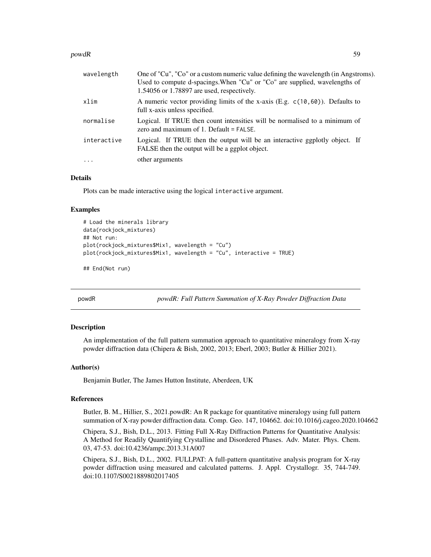#### powdR 59

| wavelength  | One of "Cu", "Co" or a custom numeric value defining the wavelength (in Angstroms).<br>Used to compute d-spacings. When "Cu" or "Co" are supplied, wavelengths of<br>$1.54056$ or 1.78897 are used, respectively. |
|-------------|-------------------------------------------------------------------------------------------------------------------------------------------------------------------------------------------------------------------|
| xlim        | A numeric vector providing limits of the x-axis (E.g. $c(10, 60)$ ). Defaults to<br>full x-axis unless specified.                                                                                                 |
| normalise   | Logical. If TRUE then count intensities will be normalised to a minimum of<br>zero and maximum of $1$ . Default = FALSE.                                                                                          |
| interactive | Logical. If TRUE then the output will be an interactive ggplotly object. If<br>FALSE then the output will be a ggplot object.                                                                                     |
| $\ddots$    | other arguments                                                                                                                                                                                                   |

# Details

Plots can be made interactive using the logical interactive argument.

#### Examples

```
# Load the minerals library
data(rockjock_mixtures)
## Not run:
plot(rockjock_mixtures$Mix1, wavelength = "Cu")
plot(rockjock_mixtures$Mix1, wavelength = "Cu", interactive = TRUE)
```
## End(Not run)

powdR *powdR: Full Pattern Summation of X-Ray Powder Diffraction Data*

#### Description

An implementation of the full pattern summation approach to quantitative mineralogy from X-ray powder diffraction data (Chipera & Bish, 2002, 2013; Eberl, 2003; Butler & Hillier 2021).

#### Author(s)

Benjamin Butler, The James Hutton Institute, Aberdeen, UK

#### References

Butler, B. M., Hillier, S., 2021.powdR: An R package for quantitative mineralogy using full pattern summation of X-ray powder diffraction data. Comp. Geo. 147, 104662. doi:10.1016/j.cageo.2020.104662

Chipera, S.J., Bish, D.L., 2013. Fitting Full X-Ray Diffraction Patterns for Quantitative Analysis: A Method for Readily Quantifying Crystalline and Disordered Phases. Adv. Mater. Phys. Chem. 03, 47-53. doi:10.4236/ampc.2013.31A007

Chipera, S.J., Bish, D.L., 2002. FULLPAT: A full-pattern quantitative analysis program for X-ray powder diffraction using measured and calculated patterns. J. Appl. Crystallogr. 35, 744-749. doi:10.1107/S0021889802017405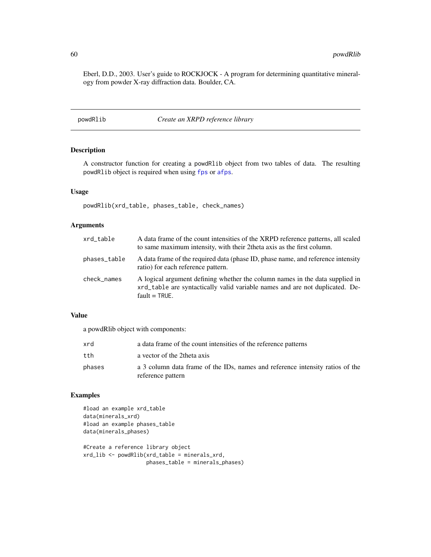Eberl, D.D., 2003. User's guide to ROCKJOCK - A program for determining quantitative mineralogy from powder X-ray diffraction data. Boulder, CA.

powdRlib *Create an XRPD reference library*

## Description

A constructor function for creating a powdRlib object from two tables of data. The resulting powdRlib object is required when using [fps](#page-27-0) or [afps](#page-2-0).

#### Usage

powdRlib(xrd\_table, phases\_table, check\_names)

## Arguments

| xrd_table    | A data frame of the count intensities of the XRPD reference patterns, all scaled<br>to same maximum intensity, with their 2 theta axis as the first column.                      |
|--------------|----------------------------------------------------------------------------------------------------------------------------------------------------------------------------------|
| phases_table | A data frame of the required data (phase ID, phase name, and reference intensity<br>ratio) for each reference pattern.                                                           |
| check_names  | A logical argument defining whether the column names in the data supplied in<br>xrd_table are syntactically valid variable names and are not duplicated. De-<br>$fault = TRUE$ . |

## Value

a powdRlib object with components:

| xrd    | a data frame of the count intensities of the reference patterns                                    |
|--------|----------------------------------------------------------------------------------------------------|
| tth    | a vector of the 2theta axis                                                                        |
| phases | a 3 column data frame of the IDs, names and reference intensity ratios of the<br>reference pattern |

#### Examples

#load an example xrd\_table data(minerals\_xrd) #load an example phases\_table data(minerals\_phases)

```
#Create a reference library object
xrd_lib <- powdRlib(xrd_table = minerals_xrd,
                   phases_table = minerals_phases)
```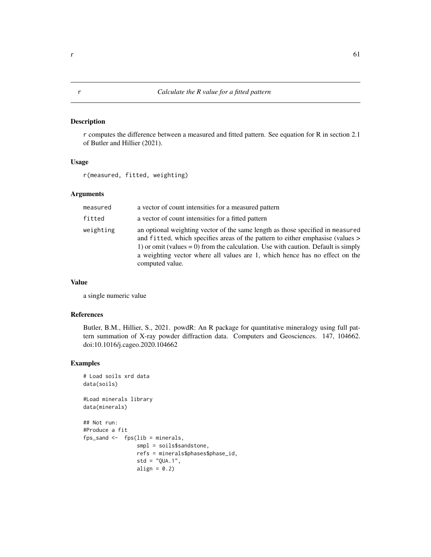## Description

r computes the difference between a measured and fitted pattern. See equation for R in section 2.1 of Butler and Hillier (2021).

## Usage

r(measured, fitted, weighting)

#### Arguments

| measured  | a vector of count intensities for a measured pattern                                                                                                                                                                                                                                                                                                       |
|-----------|------------------------------------------------------------------------------------------------------------------------------------------------------------------------------------------------------------------------------------------------------------------------------------------------------------------------------------------------------------|
| fitted    | a vector of count intensities for a fitted pattern                                                                                                                                                                                                                                                                                                         |
| weighting | an optional weighting vector of the same length as those specified in measured<br>and fitted, which specifies areas of the pattern to either emphasise (values ><br>1) or omit (values $= 0$ ) from the calculation. Use with caution. Default is simply<br>a weighting vector where all values are 1, which hence has no effect on the<br>computed value. |

#### Value

a single numeric value

## References

Butler, B.M., Hillier, S., 2021. powdR: An R package for quantitative mineralogy using full pattern summation of X-ray powder diffraction data. Computers and Geosciences. 147, 104662. doi:10.1016/j.cageo.2020.104662

#### Examples

```
# Load soils xrd data
data(soils)
```
#Load minerals library data(minerals)

```
## Not run:
#Produce a fit
fps_sand \leq fps(lib = minerals,
                 smpl = soils$sandstone,
                 refs = minerals$phases$phase_id,
                 std = "QUA.1",align = 0.2)
```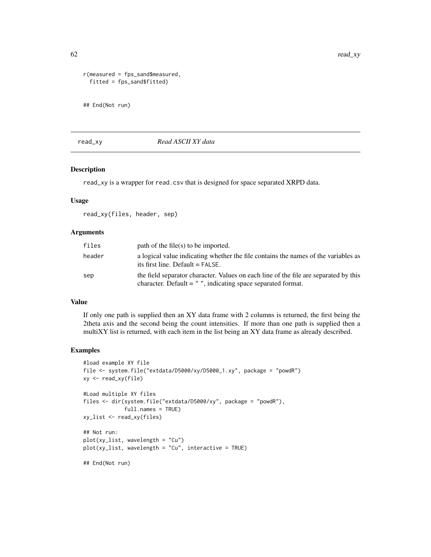```
r(measured = fps_sand$measured,
 fitted = fps_sand$fitted)
## End(Not run)
```
#### read\_xy *Read ASCII XY data*

#### Description

read\_xy is a wrapper for read.csv that is designed for space separated XRPD data.

## Usage

read\_xy(files, header, sep)

## Arguments

| files  | path of the file(s) to be imported.                                                                                                                     |
|--------|---------------------------------------------------------------------------------------------------------------------------------------------------------|
| header | a logical value indicating whether the file contains the names of the variables as<br>its first line. Default $=$ FALSE.                                |
| sep    | the field separator character. Values on each line of the file are separated by this<br>character. Default $=$ $"$ , indicating space separated format. |

## Value

If only one path is supplied then an XY data frame with 2 columns is returned, the first being the 2theta axis and the second being the count intensities. If more than one path is supplied then a multiXY list is returned, with each item in the list being an XY data frame as already described.

#### Examples

```
#load example XY file
file <- system.file("extdata/D5000/xy/D5000_1.xy", package = "powdR")
xy <- read_xy(file)
#Load multiple XY files
files <- dir(system.file("extdata/D5000/xy", package = "powdR"),
            full.names = TRUE)
xy_list <- read_xy(files)
## Not run:
plot(xy_list, wavelength = "Cu")
plot(xy_list, wavelength = "Cu", interactive = TRUE)
## End(Not run)
```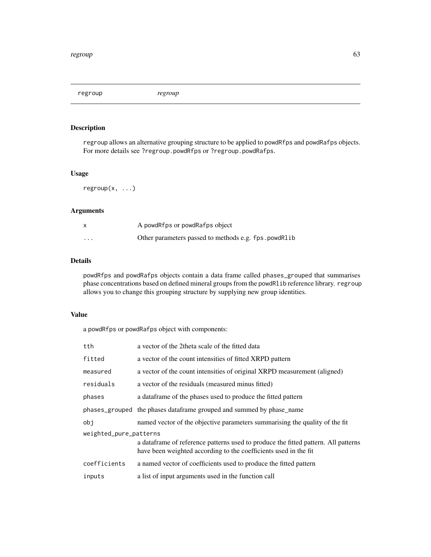regroup *regroup*

## Description

regroup allows an alternative grouping structure to be applied to powdRfps and powdRafps objects. For more details see ?regroup.powdRfps or ?regroup.powdRafps.

#### Usage

regroup(x, ...)

#### Arguments

|          | A powdRfps or powdRafps object                        |
|----------|-------------------------------------------------------|
| $\cdots$ | Other parameters passed to methods e.g. fps. powdRlib |

# Details

powdRfps and powdRafps objects contain a data frame called phases\_grouped that summarises phase concentrations based on defined mineral groups from the powdRlib reference library. regroup allows you to change this grouping structure by supplying new group identities.

# Value

a powdRfps or powdRafps object with components:

| tth                    | a vector of the 2theta scale of the fitted data                                                                                                         |  |
|------------------------|---------------------------------------------------------------------------------------------------------------------------------------------------------|--|
| fitted                 | a vector of the count intensities of fitted XRPD pattern                                                                                                |  |
| measured               | a vector of the count intensities of original XRPD measurement (aligned)                                                                                |  |
| residuals              | a vector of the residuals (measured minus fitted)                                                                                                       |  |
| phases                 | a data frame of the phases used to produce the fitted pattern                                                                                           |  |
|                        | phases_grouped the phases dataframe grouped and summed by phase_name                                                                                    |  |
| obi                    | named vector of the objective parameters summarising the quality of the fit                                                                             |  |
| weighted_pure_patterns |                                                                                                                                                         |  |
|                        | a data frame of reference patterns used to produce the fitted pattern. All patterns<br>have been weighted according to the coefficients used in the fit |  |
| coefficients           | a named vector of coefficients used to produce the fitted pattern                                                                                       |  |
| inputs                 | a list of input arguments used in the function call                                                                                                     |  |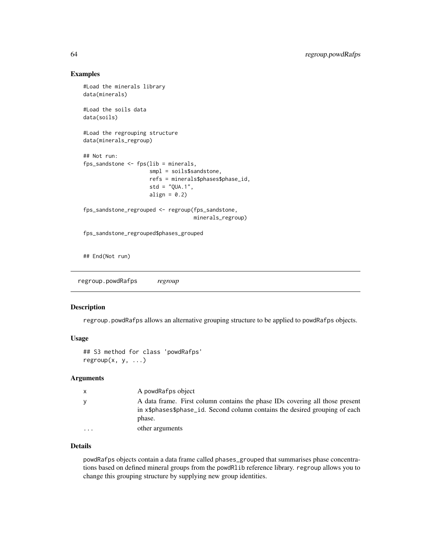#### Examples

```
#Load the minerals library
data(minerals)
#Load the soils data
data(soils)
#Load the regrouping structure
data(minerals_regroup)
## Not run:
fps_sandstone <- fps(lib = minerals,
                     smpl = soils$sandstone,
                     refs = minerals$phases$phase_id,
                     std = "QUA.1",align = 0.2)
fps_sandstone_regrouped <- regroup(fps_sandstone,
                                   minerals_regroup)
fps_sandstone_regrouped$phases_grouped
## End(Not run)
```
regroup.powdRafps *regroup*

#### Description

regroup.powdRafps allows an alternative grouping structure to be applied to powdRafps objects.

#### Usage

```
## S3 method for class 'powdRafps'
regroup(x, y, ...)
```
#### **Arguments**

| $\mathsf{x}$            | A powdRafps object                                                                                                                                                    |
|-------------------------|-----------------------------------------------------------------------------------------------------------------------------------------------------------------------|
| y                       | A data frame. First column contains the phase IDs covering all those present<br>in x\$phases\$phase_id. Second column contains the desired grouping of each<br>phase. |
| $\cdot$ $\cdot$ $\cdot$ | other arguments                                                                                                                                                       |

## Details

powdRafps objects contain a data frame called phases\_grouped that summarises phase concentrations based on defined mineral groups from the powdRlib reference library. regroup allows you to change this grouping structure by supplying new group identities.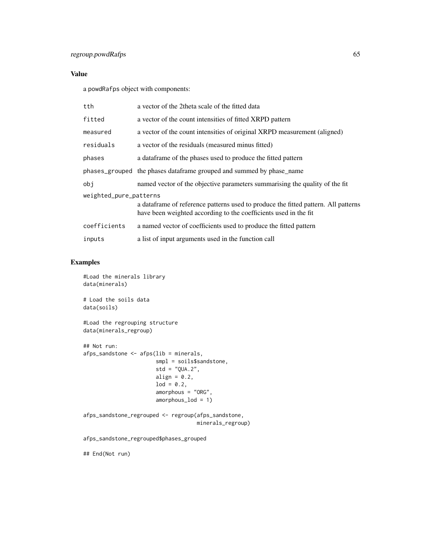# Value

a powdRafps object with components:

| tth                    | a vector of the 2theta scale of the fitted data                                                                                                         |  |
|------------------------|---------------------------------------------------------------------------------------------------------------------------------------------------------|--|
| fitted                 | a vector of the count intensities of fitted XRPD pattern                                                                                                |  |
| measured               | a vector of the count intensities of original XRPD measurement (aligned)                                                                                |  |
| residuals              | a vector of the residuals (measured minus fitted)                                                                                                       |  |
| phases                 | a data frame of the phases used to produce the fitted pattern                                                                                           |  |
|                        | phases_grouped the phases dataframe grouped and summed by phase_name                                                                                    |  |
| obi                    | named vector of the objective parameters summarising the quality of the fit                                                                             |  |
| weighted_pure_patterns |                                                                                                                                                         |  |
|                        | a data frame of reference patterns used to produce the fitted pattern. All patterns<br>have been weighted according to the coefficients used in the fit |  |
| coefficients           | a named vector of coefficients used to produce the fitted pattern                                                                                       |  |
| inputs                 | a list of input arguments used in the function call                                                                                                     |  |

## Examples

#Load the minerals library data(minerals) # Load the soils data data(soils) #Load the regrouping structure

data(minerals\_regroup)

```
## Not run:
afps_sandstone <- afps(lib = minerals,
                      smpl = soils$sandstone,
                      std = "QUA.2",align = 0.2,
                      lod = 0.2,amorphous = "ORG".amorphous_lod = 1)
```
afps\_sandstone\_regrouped <- regroup(afps\_sandstone, minerals\_regroup)

afps\_sandstone\_regrouped\$phases\_grouped

## End(Not run)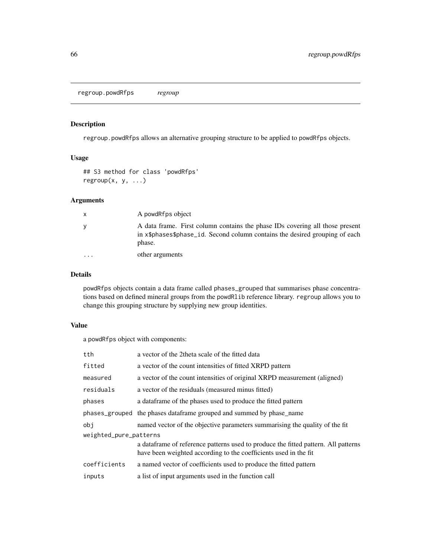regroup.powdRfps *regroup*

#### Description

regroup.powdRfps allows an alternative grouping structure to be applied to powdRfps objects.

## Usage

## S3 method for class 'powdRfps'  $regroup(x, y, ...)$ 

#### Arguments

| $\mathsf{x}$         | A powdRfps object                                                                                                                                                     |
|----------------------|-----------------------------------------------------------------------------------------------------------------------------------------------------------------------|
| <b>V</b>             | A data frame. First column contains the phase IDs covering all those present<br>in x\$phases\$phase_id. Second column contains the desired grouping of each<br>phase. |
| $\ddot{\phantom{0}}$ | other arguments                                                                                                                                                       |

# Details

powdRfps objects contain a data frame called phases\_grouped that summarises phase concentrations based on defined mineral groups from the powdRlib reference library. regroup allows you to change this grouping structure by supplying new group identities.

## Value

a powdRfps object with components:

| tth                    | a vector of the 2theta scale of the fitted data                                                                                                         |  |
|------------------------|---------------------------------------------------------------------------------------------------------------------------------------------------------|--|
| fitted                 | a vector of the count intensities of fitted XRPD pattern                                                                                                |  |
| measured               | a vector of the count intensities of original XRPD measurement (aligned)                                                                                |  |
| residuals              | a vector of the residuals (measured minus fitted)                                                                                                       |  |
| phases                 | a dataframe of the phases used to produce the fitted pattern                                                                                            |  |
|                        | phases_grouped the phases dataframe grouped and summed by phase_name                                                                                    |  |
| obi                    | named vector of the objective parameters summarising the quality of the fit                                                                             |  |
| weighted_pure_patterns |                                                                                                                                                         |  |
|                        | a data frame of reference patterns used to produce the fitted pattern. All patterns<br>have been weighted according to the coefficients used in the fit |  |
| coefficients           | a named vector of coefficients used to produce the fitted pattern                                                                                       |  |
| inputs                 | a list of input arguments used in the function call                                                                                                     |  |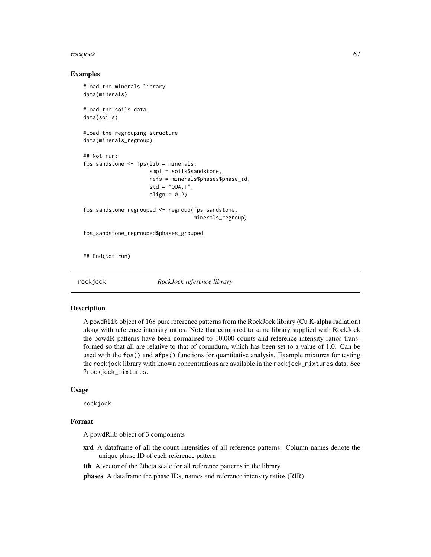#### rockjock 67

#### Examples

```
#Load the minerals library
data(minerals)
#Load the soils data
data(soils)
#Load the regrouping structure
data(minerals_regroup)
## Not run:
fps_sandstone <- fps(lib = minerals,
                     smpl = soils$sandstone,
                     refs = minerals$phases$phase_id,
                     std = "QUA.1",align = 0.2)
fps_sandstone_regrouped <- regroup(fps_sandstone,
                                   minerals_regroup)
fps_sandstone_regrouped$phases_grouped
## End(Not run)
```
rockjock *RockJock reference library*

#### **Description**

A powdRlib object of 168 pure reference patterns from the RockJock library (Cu K-alpha radiation) along with reference intensity ratios. Note that compared to same library supplied with RockJock the powdR patterns have been normalised to 10,000 counts and reference intensity ratios transformed so that all are relative to that of corundum, which has been set to a value of 1.0. Can be used with the fps() and afps() functions for quantitative analysis. Example mixtures for testing the rockjock library with known concentrations are available in the rockjock\_mixtures data. See ?rockjock\_mixtures.

#### Usage

rockjock

#### Format

A powdRlib object of 3 components

xrd A dataframe of all the count intensities of all reference patterns. Column names denote the unique phase ID of each reference pattern

tth A vector of the 2theta scale for all reference patterns in the library

phases A dataframe the phase IDs, names and reference intensity ratios (RIR)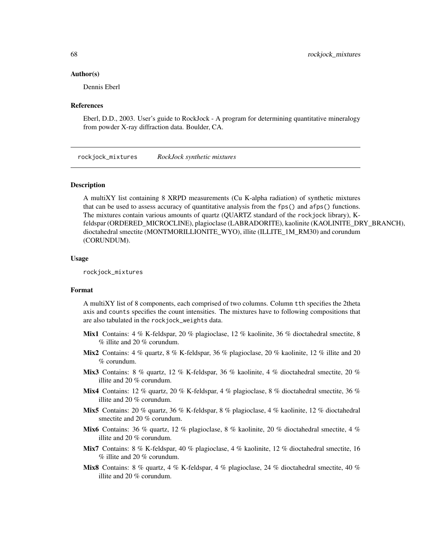#### Author(s)

Dennis Eberl

#### References

Eberl, D.D., 2003. User's guide to RockJock - A program for determining quantitative mineralogy from powder X-ray diffraction data. Boulder, CA.

rockjock\_mixtures *RockJock synthetic mixtures*

#### Description

A multiXY list containing 8 XRPD measurements (Cu K-alpha radiation) of synthetic mixtures that can be used to assess accuracy of quantitative analysis from the fps() and afps() functions. The mixtures contain various amounts of quartz (QUARTZ standard of the rockjock library), Kfeldspar (ORDERED\_MICROCLINE), plagioclase (LABRADORITE), kaolinite (KAOLINITE\_DRY\_BRANCH), dioctahedral smectite (MONTMORILLIONITE\_WYO), illite (ILLITE\_1M\_RM30) and corundum (CORUNDUM).

#### Usage

rockjock\_mixtures

#### Format

A multiXY list of 8 components, each comprised of two columns. Column tth specifies the 2theta axis and counts specifies the count intensities. The mixtures have to following compositions that are also tabulated in the rockjock\_weights data.

- **Mix1** Contains: 4 % K-feldspar, 20 % plagioclase, 12 % kaolinite, 36 % dioctahedral smectite, 8 % illite and 20 % corundum.
- Mix2 Contains:  $4\%$  quartz,  $8\%$  K-feldspar,  $36\%$  plagioclase,  $20\%$  kaolinite,  $12\%$  illite and  $20$ % corundum.
- Mix3 Contains: 8 % quartz, 12 % K-feldspar, 36 % kaolinite, 4 % dioctahedral smectite, 20 % illite and 20 % corundum.
- Mix4 Contains: 12 % quartz, 20 % K-feldspar, 4 % plagioclase, 8 % dioctahedral smectite, 36 % illite and 20 % corundum.
- Mix5 Contains: 20 % quartz, 36 % K-feldspar, 8 % plagioclase, 4 % kaolinite, 12 % dioctahedral smectite and 20 % corundum.
- **Mix6** Contains: 36 % quartz, 12 % plagioclase, 8 % kaolinite, 20 % dioctahedral smectite, 4 % illite and 20 % corundum.
- Mix7 Contains: 8 % K-feldspar, 40 % plagioclase, 4 % kaolinite, 12 % dioctahedral smectite, 16 % illite and 20 % corundum.
- Mix8 Contains: 8 % quartz, 4 % K-feldspar, 4 % plagioclase, 24 % dioctahedral smectite, 40 % illite and 20 % corundum.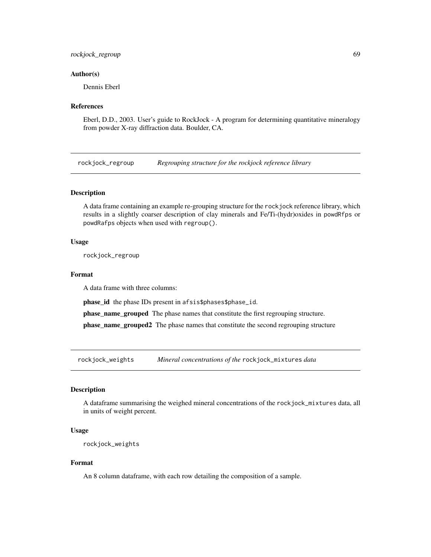## rockjock\_regroup 69

#### Author(s)

Dennis Eberl

## References

Eberl, D.D., 2003. User's guide to RockJock - A program for determining quantitative mineralogy from powder X-ray diffraction data. Boulder, CA.

rockjock\_regroup *Regrouping structure for the rockjock reference library*

## Description

A data frame containing an example re-grouping structure for the rockjock reference library, which results in a slightly coarser description of clay minerals and Fe/Ti-(hydr)oxides in powdRfps or powdRafps objects when used with regroup().

#### Usage

rockjock\_regroup

#### Format

A data frame with three columns:

phase\_id the phase IDs present in afsis\$phases\$phase\_id.

phase\_name\_grouped The phase names that constitute the first regrouping structure.

phase\_name\_grouped2 The phase names that constitute the second regrouping structure

rockjock\_weights *Mineral concentrations of the* rockjock\_mixtures *data*

#### Description

A dataframe summarising the weighed mineral concentrations of the rockjock\_mixtures data, all in units of weight percent.

#### Usage

```
rockjock_weights
```
## Format

An 8 column dataframe, with each row detailing the composition of a sample.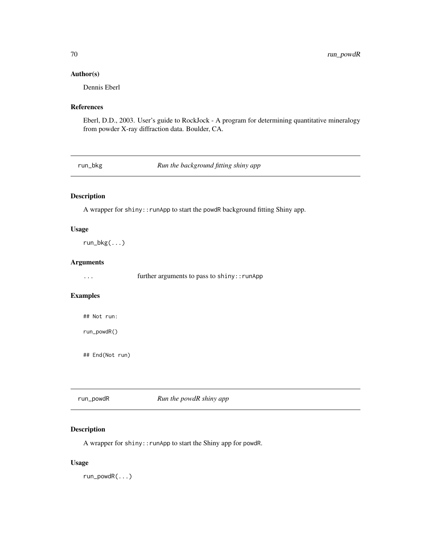#### Author(s)

Dennis Eberl

## References

Eberl, D.D., 2003. User's guide to RockJock - A program for determining quantitative mineralogy from powder X-ray diffraction data. Boulder, CA.

run\_bkg *Run the background fitting shiny app*

## Description

A wrapper for shiny:: runApp to start the powdR background fitting Shiny app.

### Usage

run\_bkg(...)

## Arguments

... further arguments to pass to shiny::runApp

# Examples

## Not run:

run\_powdR()

## End(Not run)

| run_powdR | Run the powdR shiny app |  |
|-----------|-------------------------|--|
|           |                         |  |

# Description

A wrapper for shiny::runApp to start the Shiny app for powdR.

# Usage

run\_powdR(...)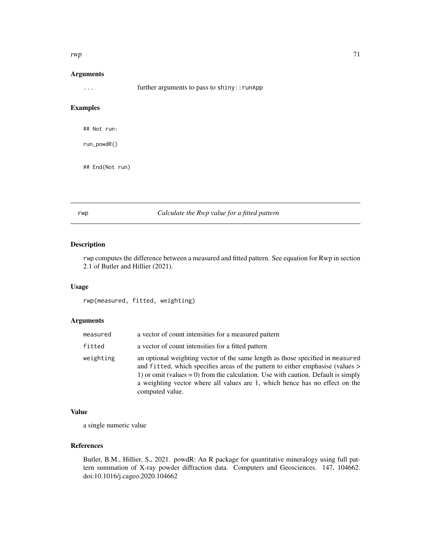#### $rwp$  71

#### Arguments

... further arguments to pass to shiny::runApp

# Examples

## Not run:

run\_powdR()

## End(Not run)

# rwp *Calculate the Rwp value for a fitted pattern*

#### Description

rwp computes the difference between a measured and fitted pattern. See equation for Rwp in section 2.1 of Butler and Hillier (2021).

# Usage

rwp(measured, fitted, weighting)

#### Arguments

| measured  | a vector of count intensities for a measured pattern                                                                                                                                                                                                                                                                                                       |
|-----------|------------------------------------------------------------------------------------------------------------------------------------------------------------------------------------------------------------------------------------------------------------------------------------------------------------------------------------------------------------|
| fitted    | a vector of count intensities for a fitted pattern                                                                                                                                                                                                                                                                                                         |
| weighting | an optional weighting vector of the same length as those specified in measured<br>and fitted, which specifies areas of the pattern to either emphasise (values ><br>1) or omit (values $= 0$ ) from the calculation. Use with caution. Default is simply<br>a weighting vector where all values are 1, which hence has no effect on the<br>computed value. |

#### Value

a single numeric value

# References

Butler, B.M., Hillier, S., 2021. powdR: An R package for quantitative mineralogy using full pattern summation of X-ray powder diffraction data. Computers and Geosciences. 147, 104662. doi:10.1016/j.cageo.2020.104662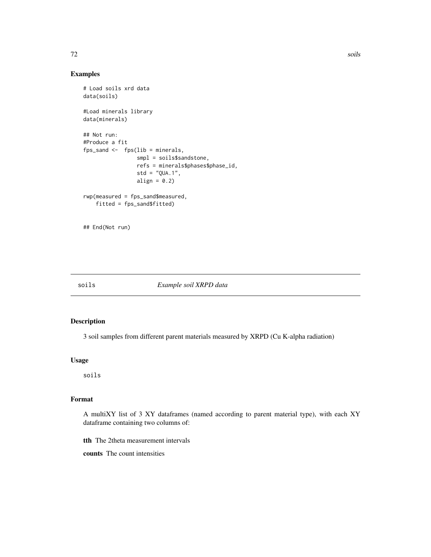## Examples

```
# Load soils xrd data
data(soils)
#Load minerals library
data(minerals)
## Not run:
#Produce a fit
fps_sand \leq fps(lib = minerals,
                 smpl = soils$sandstone,
                 refs = minerals$phases$phase_id,
                 std = "QUA.1",
                 align = 0.2)
rwp(measured = fps_sand$measured,
    fitted = fps_sand$fitted)
## End(Not run)
```
#### soils *Example soil XRPD data*

## Description

3 soil samples from different parent materials measured by XRPD (Cu K-alpha radiation)

## Usage

soils

## Format

A multiXY list of 3 XY dataframes (named according to parent material type), with each XY dataframe containing two columns of:

tth The 2theta measurement intervals

counts The count intensities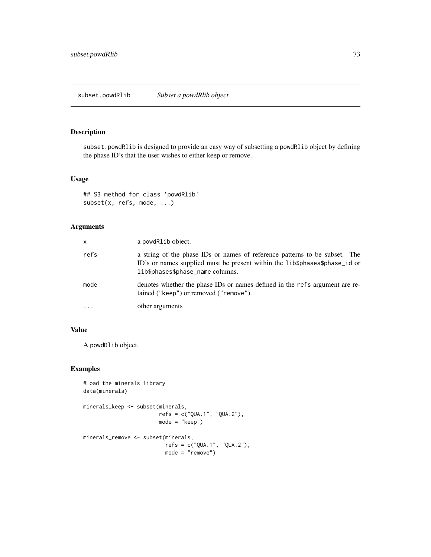### <span id="page-72-0"></span>Description

subset.powdRlib is designed to provide an easy way of subsetting a powdRlib object by defining the phase ID's that the user wishes to either keep or remove.

#### Usage

## S3 method for class 'powdRlib' subset(x, refs, mode, ...)

# Arguments

| X       | a powdRlib object.                                                                                                                                                                           |
|---------|----------------------------------------------------------------------------------------------------------------------------------------------------------------------------------------------|
| refs    | a string of the phase IDs or names of reference patterns to be subset. The<br>ID's or names supplied must be present within the lib\$phases\$phase_id or<br>lib\$phases\$phase_name columns. |
| mode    | denotes whether the phase IDs or names defined in the refs argument are re-<br>tained ("keep") or removed ("remove").                                                                        |
| $\cdot$ | other arguments                                                                                                                                                                              |

# Value

A powdRlib object.

## Examples

```
#Load the minerals library
data(minerals)
minerals_keep <- subset(minerals,
                       refs = c("QUA.1", "QUA.2"),
                       mode = "keep")
minerals_remove <- subset(minerals,
                          refs = c("QUA.1", "QUA.2"),
                          mode = "remove")
```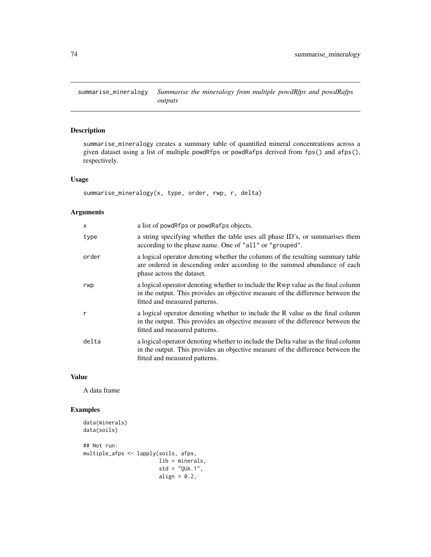<span id="page-73-0"></span>summarise\_mineralogy *Summarise the mineralogy from multiple powdRfps and powdRafps outputs*

# Description

summarise\_mineralogy creates a summary table of quantified mineral concentrations across a given dataset using a list of multiple powdRfps or powdRafps derived from fps() and afps(), respectively.

#### Usage

```
summarise_mineralogy(x, type, order, rwp, r, delta)
```
# Arguments

| $\mathsf{x}$ | a list of powdRfps or powdRafps objects.                                                                                                                                                               |
|--------------|--------------------------------------------------------------------------------------------------------------------------------------------------------------------------------------------------------|
| type         | a string specifying whether the table uses all phase ID's, or summarises them<br>according to the phase name. One of "all" or "grouped".                                                               |
| order        | a logical operator denoting whether the columns of the resulting summary table<br>are ordered in descending order according to the summed abundance of each<br>phase across the dataset.               |
| rwp          | a logical operator denoting whether to include the Rwp value as the final column<br>in the output. This provides an objective measure of the difference between the<br>fitted and measured patterns.   |
| r            | a logical operator denoting whether to include the R value as the final column<br>in the output. This provides an objective measure of the difference between the<br>fitted and measured patterns.     |
| delta        | a logical operator denoting whether to include the Delta value as the final column<br>in the output. This provides an objective measure of the difference between the<br>fitted and measured patterns. |

#### Value

A data frame

# Examples

```
data(minerals)
data(soils)
## Not run:
multiple_afps <- lapply(soils, afps,
                        lib = minerals,
                        std = "QUA.1",align = 0.2,
```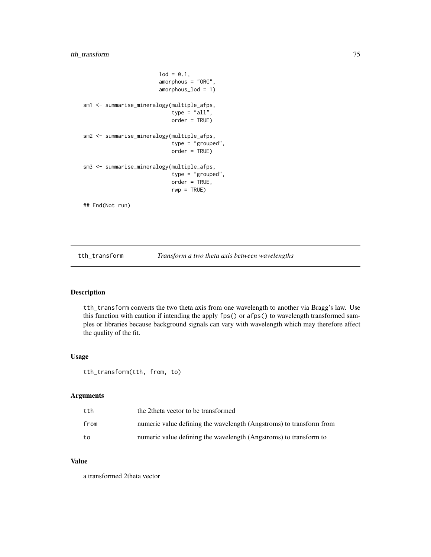# <span id="page-74-0"></span>tth\_transform 75

```
lod = 0.1,amorphous = "ORG",
                        amorphous_lod = 1)
sm1 <- summarise_mineralogy(multiple_afps,
                            type = "all",order = TRUE)
sm2 <- summarise_mineralogy(multiple_afps,
                            type = "grouped",
                            order = TRUE)
sm3 <- summarise_mineralogy(multiple_afps,
                            type = "grouped",
                            order = TRUE,
                            rwp = TRUE)
## End(Not run)
```
tth\_transform *Transform a two theta axis between wavelengths*

# Description

tth\_transform converts the two theta axis from one wavelength to another via Bragg's law. Use this function with caution if intending the apply fps() or afps() to wavelength transformed samples or libraries because background signals can vary with wavelength which may therefore affect the quality of the fit.

#### Usage

tth\_transform(tth, from, to)

#### Arguments

| tth  | the 2 theta vector to be transformed                                |
|------|---------------------------------------------------------------------|
| from | numeric value defining the wavelength (Angstroms) to transform from |
| to   | numeric value defining the wavelength (Angstroms) to transform to   |

## Value

a transformed 2theta vector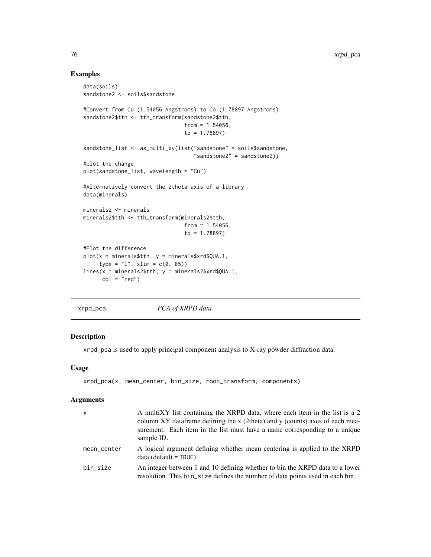# Examples

```
data(soils)
sandstone2 <- soils$sandstone
#Convert from Cu (1.54056 Angstroms) to Co (1.78897 Angstroms)
sandstone2$tth <- tth_transform(sandstone2$tth,
                                from = 1.54056,to = 1.78897)
sandstone_list <- as_multi_xy(list("sandstone" = soils$sandstone,
                                   "sandstone2" = sandstone2))
#plot the change
plot(sandstone_list, wavelength = "Cu")
#Alternatively convert the 2theta axis of a library
data(minerals)
minerals2 <- minerals
minerals2$tth <- tth_transform(minerals2$tth,
                                from = 1.54056,
                                to = 1.78897)
#Plot the difference
plot(x = minerals$tth, y = minerals$xrd$QUA.1,
     type = "l", xlim = c(0, 85))lines(x = minerals2$tth, y = minerals2$xrd$QUA.1,col = "red")
```
xrpd\_pca *PCA of XRPD data*

### Description

xrpd\_pca is used to apply principal component analysis to X-ray powder diffraction data.

#### Usage

```
xrpd_pca(x, mean_center, bin_size, root_transform, components)
```
#### Arguments

| $\mathsf{x}$ | A multiXY list containing the XRPD data, where each item in the list is a 2<br>column XY data frame defining the x (2theta) and y (counts) axes of each mea-<br>surement. Each item in the list must have a name corresponding to a unique<br>sample ID. |
|--------------|----------------------------------------------------------------------------------------------------------------------------------------------------------------------------------------------------------------------------------------------------------|
| mean_center  | A logical argument defining whether mean centering is applied to the XRPD<br>$data$ (default = TRUE).                                                                                                                                                    |
| bin size     | An integer between 1 and 10 defining whether to bin the XRPD data to a lower<br>resolution. This bin_size defines the number of data points used in each bin.                                                                                            |

<span id="page-75-0"></span>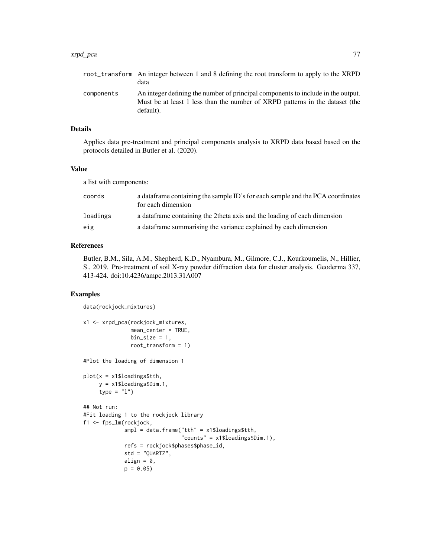#### xrpd\_pca 77

|            | root_transform An integer between 1 and 8 defining the root transform to apply to the XRPD<br>data                                                                            |
|------------|-------------------------------------------------------------------------------------------------------------------------------------------------------------------------------|
| components | An integer defining the number of principal components to include in the output.<br>Must be at least 1 less than the number of XRPD patterns in the dataset (the<br>default). |

## Details

Applies data pre-treatment and principal components analysis to XRPD data based based on the protocols detailed in Butler et al. (2020).

#### Value

a list with components:

| coords   | a data frame containing the sample ID's for each sample and the PCA coordinates<br>for each dimension |
|----------|-------------------------------------------------------------------------------------------------------|
| loadings | a data frame containing the 2theta axis and the loading of each dimension                             |
| eig      | a data frame summarising the variance explained by each dimension                                     |

## References

Butler, B.M., Sila, A.M., Shepherd, K.D., Nyambura, M., Gilmore, C.J., Kourkoumelis, N., Hillier, S., 2019. Pre-treatment of soil X-ray powder diffraction data for cluster analysis. Geoderma 337, 413-424. doi:10.4236/ampc.2013.31A007

# Examples

```
data(rockjock_mixtures)
x1 <- xrpd_pca(rockjock_mixtures,
              mean_center = TRUE,
              bin\_size = 1,
              root_transform = 1)
#Plot the loading of dimension 1
plot(x = x1$loadings$tth,y = x1$loadings$Dim.1,
     type = "1")
## Not run:
#Fit loading 1 to the rockjock library
f1 <- fps_lm(rockjock,
            smpl = data.frame("tth" = x1$loadings$tth,"counts" = x1$loadings$Dim.1),
            refs = rockjock$phases$phase_id,
             std = "QUARTZ",
             align = 0,
             p = 0.05
```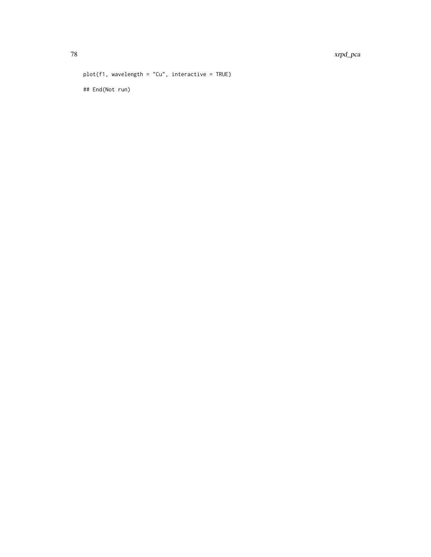```
plot(f1, wavelength = "Cu", interactive = TRUE)
## End(Not run)
```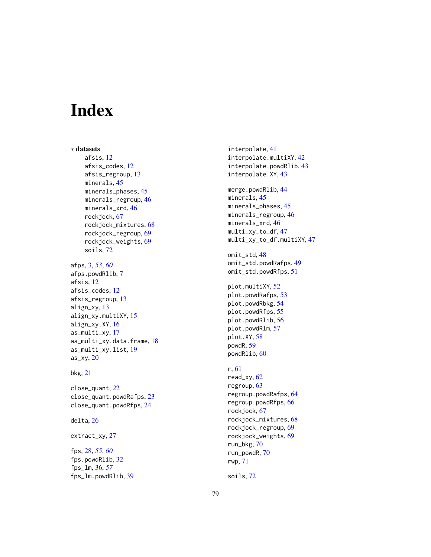# Index

∗ datasets afsis , [12](#page-11-0) afsis\_codes , [12](#page-11-0) afsis\_regroup , [13](#page-12-0) minerals, [45](#page-44-0) minerals\_phases, [45](#page-44-0) minerals\_regroup, [46](#page-45-0) minerals\_xrd,4<mark>6</mark> rockjock , [67](#page-66-0) rockjock\_mixtures , [68](#page-67-0) rockjock\_regroup , [69](#page-68-0) rockjock\_weights , [69](#page-68-0) soils , [72](#page-71-0) afps , [3](#page-2-0) , *[53](#page-52-0)* , *[60](#page-59-0)* afps.powdRlib, [7](#page-6-0) afsis , [12](#page-11-0)

```
afsis_codes
, 12
afsis_regroup
, 13
align_xy
, 13
align_xy.multiXY
, 15
16
as_multi_xy
, 17
18
as_multi_xy.list
, 19
as_xy
, 20
```
#### bkg , [21](#page-20-0)

close\_quant , [22](#page-21-0) close\_quant.powdRafps , [23](#page-22-0) close\_quant.powdRfps , [24](#page-23-0)

### delta , [26](#page-25-0)

extract\_xy , [27](#page-26-0)

fps , [28](#page-27-0) , *[55](#page-54-0)* , *[60](#page-59-0)* fps.powdRlib, [32](#page-31-0) fps\_lm , [36](#page-35-0) , *[57](#page-56-0)* fps\_lm.powdRlib , [39](#page-38-0) interpolate , [41](#page-40-0) interpolate.multiXY , [42](#page-41-0) interpolate.powdRlib , [43](#page-42-0) interpolate.XY , [43](#page-42-0) merge.powdRlib, [44](#page-43-0) minerals, [45](#page-44-0) minerals\_phases , [45](#page-44-0) minerals\_regroup , [46](#page-45-0) minerals\_xrd , [46](#page-45-0) multi\_xy\_to\_df , [47](#page-46-0) multi\_xy\_to\_df.multiXY , [47](#page-46-0) omit\_std , [48](#page-47-0) omit\_std.powdRafps , [49](#page-48-0) omit\_std.powdRfps , [51](#page-50-0) plot.multiXY , [52](#page-51-0) plot.powdRafps , [53](#page-52-0) plot.powdRbkg, [54](#page-53-0) plot.powdRfps, [55](#page-54-0) plot.powdRlib, [56](#page-55-0) plot.powdRlm , [57](#page-56-0) plot.XY , [58](#page-57-0) powdR , [59](#page-58-0) powdRlib, [60](#page-59-0) r , [61](#page-60-0) read\_xy , [62](#page-61-0) regroup , [63](#page-62-0) regroup.powdRafps, [64](#page-63-0) regroup.powdRfps, [66](#page-65-0) rockjock , [67](#page-66-0) rockjock\_mixtures , [68](#page-67-0) rockjock\_regroup , [69](#page-68-0) rockjock\_weights , [69](#page-68-0) run\_bkg , [70](#page-69-0)

soils , [72](#page-71-0)

run\_powdR , [70](#page-69-0) rwp , [71](#page-70-0)